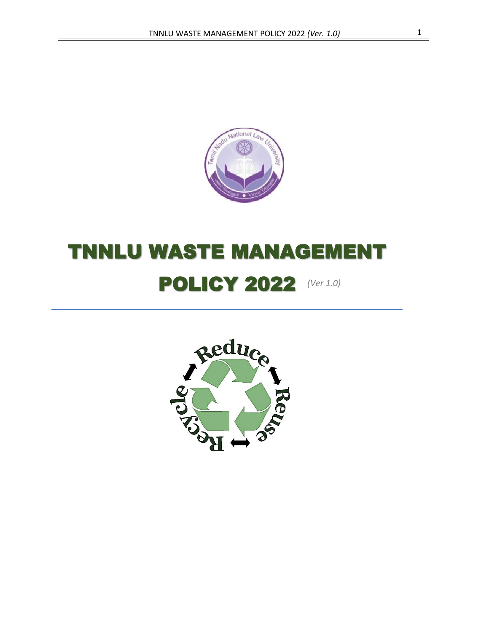

# **POLICY 2022** (Ver 1.0) TNNLU WASTE MANAGEMENT

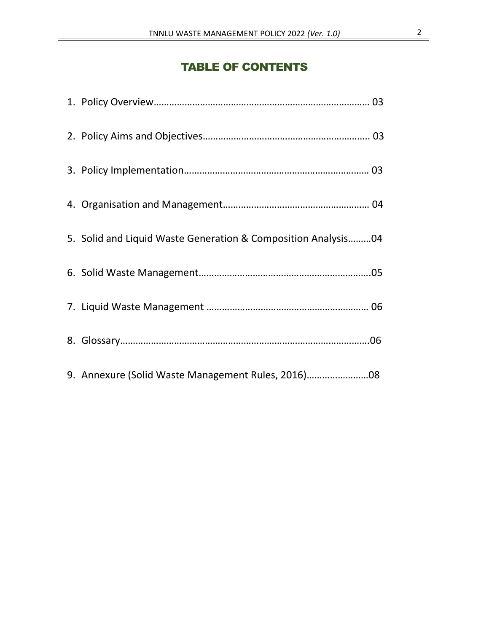# TABLE OF CONTENTS

| 5. Solid and Liquid Waste Generation & Composition Analysis04 |  |
|---------------------------------------------------------------|--|
|                                                               |  |
|                                                               |  |
|                                                               |  |
| 9. Annexure (Solid Waste Management Rules, 2016)              |  |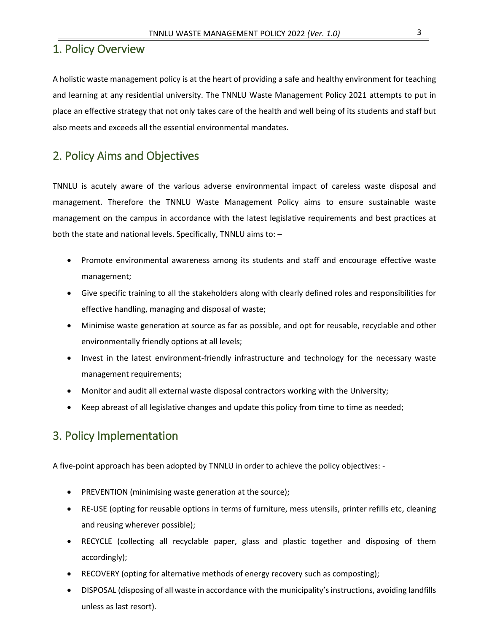## 1. Policy Overview

A holistic waste management policy is at the heart of providing a safe and healthy environment for teaching and learning at any residential university. The TNNLU Waste Management Policy 2021 attempts to put in place an effective strategy that not only takes care of the health and well being of its students and staff but also meets and exceeds all the essential environmental mandates.

# 2. Policy Aims and Objectives

TNNLU is acutely aware of the various adverse environmental impact of careless waste disposal and management. Therefore the TNNLU Waste Management Policy aims to ensure sustainable waste management on the campus in accordance with the latest legislative requirements and best practices at both the state and national levels. Specifically, TNNLU aims to: –

- Promote environmental awareness among its students and staff and encourage effective waste management;
- Give specific training to all the stakeholders along with clearly defined roles and responsibilities for effective handling, managing and disposal of waste;
- Minimise waste generation at source as far as possible, and opt for reusable, recyclable and other environmentally friendly options at all levels;
- Invest in the latest environment-friendly infrastructure and technology for the necessary waste management requirements;
- Monitor and audit all external waste disposal contractors working with the University;
- Keep abreast of all legislative changes and update this policy from time to time as needed;

# 3. Policy Implementation

A five-point approach has been adopted by TNNLU in order to achieve the policy objectives: -

- PREVENTION (minimising waste generation at the source);
- RE-USE (opting for reusable options in terms of furniture, mess utensils, printer refills etc, cleaning and reusing wherever possible);
- RECYCLE (collecting all recyclable paper, glass and plastic together and disposing of them accordingly);
- RECOVERY (opting for alternative methods of energy recovery such as composting);
- DISPOSAL (disposing of all waste in accordance with the municipality'sinstructions, avoiding landfills unless as last resort).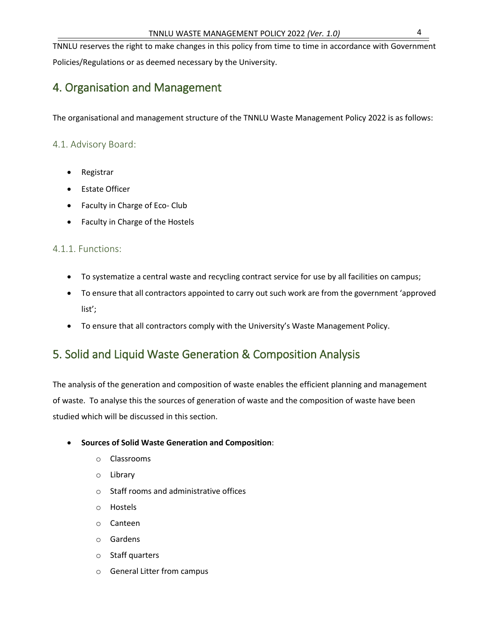TNNLU reserves the right to make changes in this policy from time to time in accordance with Government Policies/Regulations or as deemed necessary by the University.

# 4. Organisation and Management

The organisational and management structure of the TNNLU Waste Management Policy 2022 is as follows:

## 4.1. Advisory Board:

- Registrar
- **Estate Officer**
- Faculty in Charge of Eco- Club
- Faculty in Charge of the Hostels

## 4.1.1. Functions:

- To systematize a central waste and recycling contract service for use by all facilities on campus;
- To ensure that all contractors appointed to carry out such work are from the government 'approved list';
- To ensure that all contractors comply with the University's Waste Management Policy.

# 5. Solid and Liquid Waste Generation & Composition Analysis

The analysis of the generation and composition of waste enables the efficient planning and management of waste. To analyse this the sources of generation of waste and the composition of waste have been studied which will be discussed in this section.

## • **Sources of Solid Waste Generation and Composition**:

- o Classrooms
- o Library
- o Staff rooms and administrative offices
- o Hostels
- o Canteen
- o Gardens
- o Staff quarters
- o General Litter from campus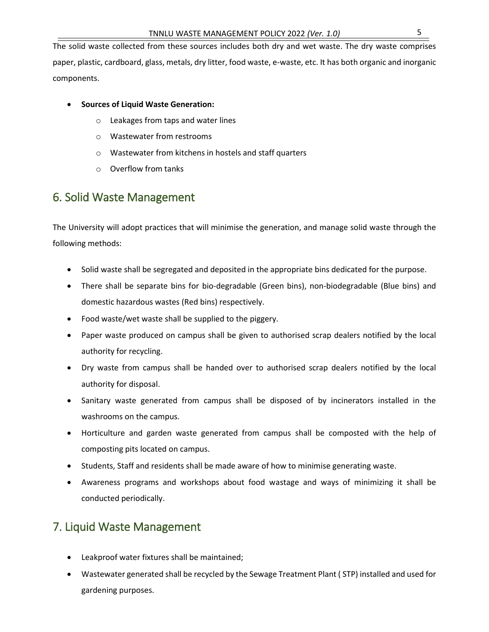The solid waste collected from these sources includes both dry and wet waste. The dry waste comprises paper, plastic, cardboard, glass, metals, dry litter, food waste, e-waste, etc. It has both organic and inorganic components.

- **Sources of Liquid Waste Generation:**
	- o Leakages from taps and water lines
	- o Wastewater from restrooms
	- o Wastewater from kitchens in hostels and staff quarters
	- o Overflow from tanks

# 6. Solid Waste Management

The University will adopt practices that will minimise the generation, and manage solid waste through the following methods:

- Solid waste shall be segregated and deposited in the appropriate bins dedicated for the purpose.
- There shall be separate bins for bio-degradable (Green bins), non-biodegradable (Blue bins) and domestic hazardous wastes (Red bins) respectively.
- Food waste/wet waste shall be supplied to the piggery.
- Paper waste produced on campus shall be given to authorised scrap dealers notified by the local authority for recycling.
- Dry waste from campus shall be handed over to authorised scrap dealers notified by the local authority for disposal.
- Sanitary waste generated from campus shall be disposed of by incinerators installed in the washrooms on the campus.
- Horticulture and garden waste generated from campus shall be composted with the help of composting pits located on campus.
- Students, Staff and residents shall be made aware of how to minimise generating waste.
- Awareness programs and workshops about food wastage and ways of minimizing it shall be conducted periodically.

## 7. Liquid Waste Management

- Leakproof water fixtures shall be maintained;
- Wastewater generated shall be recycled by the Sewage Treatment Plant ( STP) installed and used for gardening purposes.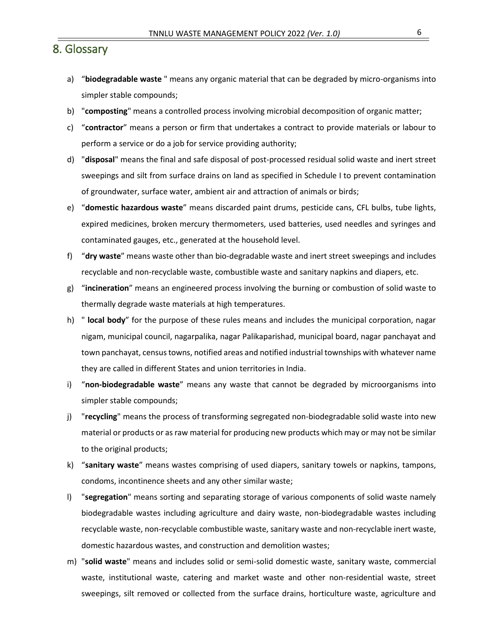## 8. Glossary

- a) "**biodegradable waste** " means any organic material that can be degraded by micro-organisms into simpler stable compounds;
- b) "**composting**" means a controlled process involving microbial decomposition of organic matter;
- c) "**contractor**" means a person or firm that undertakes a contract to provide materials or labour to perform a service or do a job for service providing authority;
- d) "**disposal**" means the final and safe disposal of post-processed residual solid waste and inert street sweepings and silt from surface drains on land as specified in Schedule I to prevent contamination of groundwater, surface water, ambient air and attraction of animals or birds;
- e) "**domestic hazardous waste**" means discarded paint drums, pesticide cans, CFL bulbs, tube lights, expired medicines, broken mercury thermometers, used batteries, used needles and syringes and contaminated gauges, etc., generated at the household level.
- f) "**dry waste**" means waste other than bio-degradable waste and inert street sweepings and includes recyclable and non-recyclable waste, combustible waste and sanitary napkins and diapers, etc.
- g) "**incineration**" means an engineered process involving the burning or combustion of solid waste to thermally degrade waste materials at high temperatures.
- h) " **local body**" for the purpose of these rules means and includes the municipal corporation, nagar nigam, municipal council, nagarpalika, nagar Palikaparishad, municipal board, nagar panchayat and town panchayat, census towns, notified areas and notified industrial townships with whatever name they are called in different States and union territories in India.
- i) "**non-biodegradable waste**" means any waste that cannot be degraded by microorganisms into simpler stable compounds;
- j) "**recycling**" means the process of transforming segregated non-biodegradable solid waste into new material or products or as raw material for producing new products which may or may not be similar to the original products;
- k) "**sanitary waste**" means wastes comprising of used diapers, sanitary towels or napkins, tampons, condoms, incontinence sheets and any other similar waste;
- l) "**segregation**" means sorting and separating storage of various components of solid waste namely biodegradable wastes including agriculture and dairy waste, non-biodegradable wastes including recyclable waste, non-recyclable combustible waste, sanitary waste and non-recyclable inert waste, domestic hazardous wastes, and construction and demolition wastes;
- m) "**solid waste**" means and includes solid or semi-solid domestic waste, sanitary waste, commercial waste, institutional waste, catering and market waste and other non-residential waste, street sweepings, silt removed or collected from the surface drains, horticulture waste, agriculture and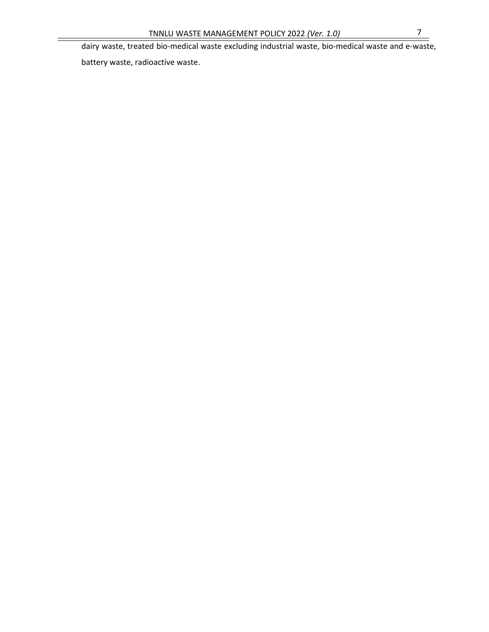dairy waste, treated bio-medical waste excluding industrial waste, bio-medical waste and e-waste,

battery waste, radioactive waste.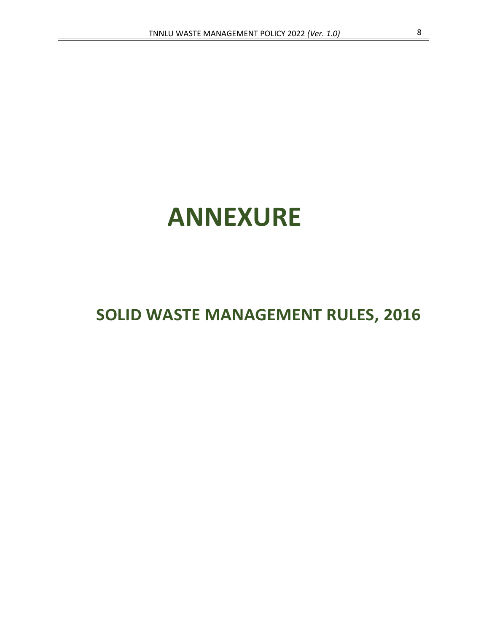# **ANNEXURE**

# **SOLID WASTE MANAGEMENT RULES, 2016**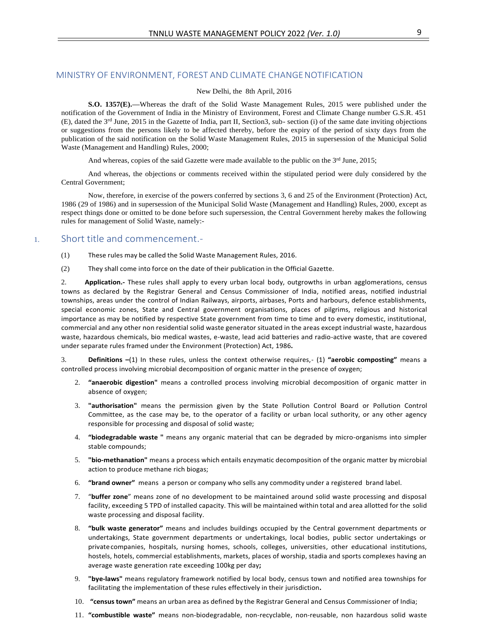#### MINISTRY OF ENVIRONMENT, FOREST AND CLIMATE CHANGENOTIFICATION

#### New Delhi, the 8th April, 2016

**S.O. 1357(E).—**Whereas the draft of the Solid Waste Management Rules, 2015 were published under the notification of the Government of India in the Ministry of Environment, Forest and Climate Change number G.S.R. 451 (E), dated the 3rd June, 2015 in the Gazette of India, part II, Section3, sub- section (i) of the same date inviting objections or suggestions from the persons likely to be affected thereby, before the expiry of the period of sixty days from the publication of the said notification on the Solid Waste Management Rules, 2015 in supersession of the Municipal Solid Waste (Management and Handling) Rules, 2000;

And whereas, copies of the said Gazette were made available to the public on the  $3<sup>rd</sup>$  June, 2015;

And whereas, the objections or comments received within the stipulated period were duly considered by the Central Government;

Now, therefore, in exercise of the powers conferred by sections 3, 6 and 25 of the Environment (Protection) Act, 1986 (29 of 1986) and in supersession of the Municipal Solid Waste (Management and Handling) Rules, 2000, except as respect things done or omitted to be done before such supersession, the Central Government hereby makes the following rules for management of Solid Waste, namely:-

#### 1. Short title and commencement.-

- (1) These rules may be called the Solid Waste Management Rules, 2016.
- (2) They shall come into force on the date of their publication in the Official Gazette.

2. **Application.-** These rules shall apply to every urban local body, outgrowths in urban agglomerations, census towns as declared by the Registrar General and Census Commissioner of India, notified areas, notified industrial townships, areas under the control of Indian Railways, airports, airbases, Ports and harbours, defence establishments, special economic zones, State and Central government organisations, places of pilgrims, religious and historical importance as may be notified by respective State government from time to time and to every domestic, institutional, commercial and any other non residential solid waste generator situated in the areas except industrial waste, hazardous waste, hazardous chemicals, bio medical wastes, e-waste, lead acid batteries and radio-active waste, that are covered under separate rules framed under the Environment (Protection) Act, 1986**.**

3. **Definitions –**(1) In these rules, unless the context otherwise requires,- (1) **"aerobic composting"** means a controlled process involving microbial decomposition of organic matter in the presence of oxygen;

- 2. **"anaerobic digestion"** means a controlled process involving microbial decomposition of organic matter in absence of oxygen;
- 3. **"authorisation"** means the permission given by the State Pollution Control Board or Pollution Control Committee, as the case may be, to the operator of a facility or urban local suthority, or any other agency responsible for processing and disposal of solid waste;
- 4. **"biodegradable waste "** means any organic material that can be degraded by micro-organisms into simpler stable compounds;
- 5. **"bio-methanation"** means a process which entails enzymatic decomposition of the organic matter by microbial action to produce methane rich biogas;
- 6. **"brand owner"** means a person or company who sells any commodity under a registered brand label.
- 7. "**buffer zone**" means zone of no development to be maintained around solid waste processing and disposal facility, exceeding 5 TPD of installed capacity. This will be maintained within total and area allotted for the solid waste processing and disposal facility.
- 8. **"bulk waste generator"** means and includes buildings occupied by the Central government departments or undertakings, State government departments or undertakings, local bodies, public sector undertakings or privatecompanies, hospitals, nursing homes, schools, colleges, universities, other educational institutions, hostels, hotels, commercial establishments, markets, places of worship, stadia and sports complexes having an average waste generation rate exceeding 100kg per day**;**
- 9. **"bye-laws"** means regulatory framework notified by local body, census town and notified area townships for facilitating the implementation of these rules effectively in their jurisdiction**.**
- 10. **"census town"** means an urban area as defined by the Registrar General and Census Commissioner of India;
- 11. **"combustible waste"** means non-biodegradable, non-recyclable, non-reusable, non hazardous solid waste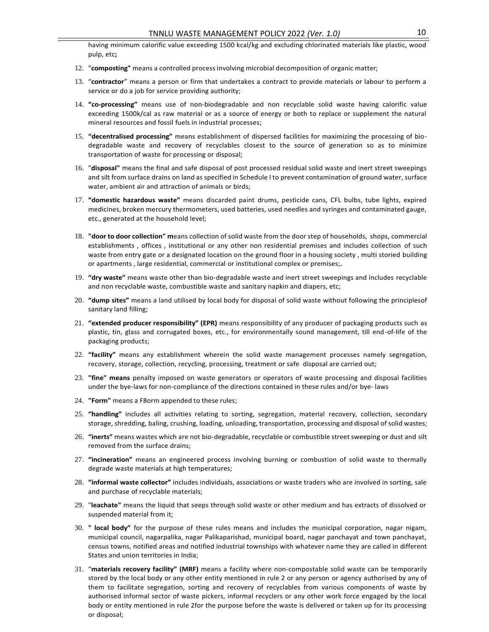having minimum calorific value exceeding 1500 kcal/kg and excluding chlorinated materials like plastic, wood pulp, etc**;**

- 12. "**composting"** means a controlled process involving microbial decomposition of organic matter;
- 13. "**contractor**" means a person or firm that undertakes a contract to provide materials or labour to perform a service or do a job for service providing authority;
- 14. **"co-processing"** means use of non-biodegradable and non recyclable solid waste having calorific value exceeding 1500k/cal as raw material or as a source of energy or both to replace or supplement the natural mineral resources and fossil fuels in industrial processes;
- 15. **"decentralised processing"** means establishment of dispersed facilities for maximizing the processing of biodegradable waste and recovery of recyclables closest to the source of generation so as to minimize transportation of waste for processing or disposal;
- 16. "**disposal"** means the final and safe disposal of post processed residual solid waste and inert street sweepings and silt from surface drains on land as specified in Schedule I to prevent contamination of ground water, surface water, ambient air and attraction of animals or birds;
- 17. **"domestic hazardous waste"** means discarded paint drums, pesticide cans, CFL bulbs, tube lights, expired medicines, broken mercury thermometers, used batteries, used needles and syringes and contaminated gauge, etc., generated at the household level;
- 18. **"door to door collection" m**eans collection of solid waste from the door step of households, shops, commercial establishments , offices , institutional or any other non residential premises and includes collection of such waste from entry gate or a designated location on the ground floor in a housing society , multi storied building or apartments , large residential, commercial or institutional complex or premises;**.**
- 19. **"dry waste"** means waste other than bio-degradable waste and inert street sweepings and includes recyclable and non recyclable waste, combustible waste and sanitary napkin and diapers, etc;
- 20. **"dump sites"** means a land utilised by local body for disposal of solid waste without following the principlesof sanitary land filling;
- 21. **"extended producer responsibility" (EPR)** means responsibility of any producer of packaging products such as plastic, tin, glass and corrugated boxes, etc., for environmentally sound management, till end-of-life of the packaging products;
- 22. **"facility"** means any establishment wherein the solid waste management processes namely segregation, recovery, storage, collection, recycling, processing, treatment or safe disposal are carried out;
- 23. **"fine" means** penalty imposed on waste generators or operators of waste processing and disposal facilities under the bye-laws for non-compliance of the directions contained in these rules and/or bye- laws
- 24. **"Form"** means a F8orm appended to these rules;
- 25. **"handling"** includes all activities relating to sorting, segregation, material recovery, collection, secondary storage, shredding, baling, crushing, loading, unloading, transportation, processing and disposal of solid wastes;
- 26. **"inerts"** means wastes which are not bio-degradable, recyclable or combustible street sweeping or dust and silt removed from the surface drains;
- 27. **"incineration"** means an engineered process involving burning or combustion of solid waste to thermally degrade waste materials at high temperatures;
- 28. **"informal waste collector"** includes individuals, associations or waste traders who are involved in sorting, sale and purchase of recyclable materials;
- 29. "**leachate"** means the liquid that seeps through solid waste or other medium and has extracts of dissolved or suspended material from it;
- 30. **" local body"** for the purpose of these rules means and includes the municipal corporation, nagar nigam, municipal council, nagarpalika, nagar Palikaparishad, municipal board, nagar panchayat and town panchayat, census towns, notified areas and notified industrial townships with whatever name they are called in different States and union territories in India;
- 31. "**materials recovery facility" (MRF)** means a facility where non-compostable solid waste can be temporarily stored by the local body or any other entity mentioned in rule 2 or any person or agency authorised by any of them to facilitate segregation, sorting and recovery of recyclables from various components of waste by authorised informal sector of waste pickers, informal recyclers or any other work force engaged by the local body or entity mentioned in rule 2for the purpose before the waste is delivered or taken up for its processing or disposal;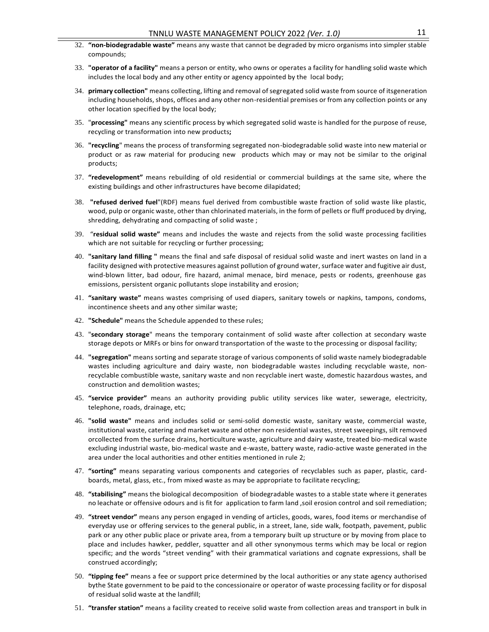- 32. **"non-biodegradable waste"** means any waste that cannot be degraded by micro organisms into simpler stable compounds;
- 33. **"operator of a facility"** means a person or entity, who owns or operates a facility for handling solid waste which includes the local body and any other entity or agency appointed by the local body;
- 34. **primary collection"** means collecting, lifting and removal ofsegregated solid waste from source of itsgeneration including households, shops, offices and any other non-residential premises or from any collection points or any other location specified by the local body;
- 35. "**processing"** means any scientific process by which segregated solid waste is handled for the purpose of reuse, recycling or transformation into new products**;**
- 36. **"recycling**" means the process of transforming segregated non-biodegradable solid waste into new material or product or as raw material for producing new products which may or may not be similar to the original products;
- 37. **"redevelopment"** means rebuilding of old residential or commercial buildings at the same site, where the existing buildings and other infrastructures have become dilapidated;
- 38. **"refused derived fuel**"(RDF) means fuel derived from combustible waste fraction of solid waste like plastic, wood, pulp or organic waste, other than chlorinated materials, in the form of pellets or fluff produced by drying, shredding, dehydrating and compacting of solid waste ;
- 39. "**residual solid waste"** means and includes the waste and rejects from the solid waste processing facilities which are not suitable for recycling or further processing;
- 40. **"sanitary land filling "** means the final and safe disposal of residual solid waste and inert wastes on land in a facility designed with protective measures against pollution of ground water, surface water and fugitive air dust, wind-blown litter, bad odour, fire hazard, animal menace, bird menace, pests or rodents, greenhouse gas emissions, persistent organic pollutants slope instability and erosion;
- 41. **"sanitary waste"** means wastes comprising of used diapers, sanitary towels or napkins, tampons, condoms, incontinence sheets and any other similar waste;
- 42. **"Schedule"** means the Schedule appended to these rules;
- 43. "**secondary storage**" means the temporary containment of solid waste after collection at secondary waste storage depots or MRFs or bins for onward transportation of the waste to the processing or disposal facility;
- 44. **"segregation"** means sorting and separate storage of various components of solid waste namely biodegradable wastes including agriculture and dairy waste, non biodegradable wastes including recyclable waste, nonrecyclable combustible waste, sanitary waste and non recyclable inert waste, domestic hazardous wastes, and construction and demolition wastes;
- 45. **"service provider"** means an authority providing public utility services like water, sewerage, electricity, telephone, roads, drainage, etc;
- 46. **"solid waste"** means and includes solid or semi-solid domestic waste, sanitary waste, commercial waste, institutional waste, catering and market waste and other non residential wastes, street sweepings, silt removed orcollected from the surface drains, horticulture waste, agriculture and dairy waste, treated bio-medical waste excluding industrial waste, bio-medical waste and e-waste, battery waste, radio-active waste generated in the area under the local authorities and other entities mentioned in rule 2;
- 47. **"sorting"** means separating various components and categories of recyclables such as paper, plastic, cardboards, metal, glass, etc., from mixed waste as may be appropriate to facilitate recycling;
- 48. **"stabilising"** means the biological decomposition of biodegradable wastes to a stable state where it generates no leachate or offensive odours and is fit for application to farm land ,soil erosion control and soil remediation;
- 49. **"street vendor"** means any person engaged in vending of articles, goods, wares, food items or merchandise of everyday use or offering services to the general public, in a street, lane, side walk, footpath, pavement, public park or any other public place or private area, from a temporary built up structure or by moving from place to place and includes hawker, peddler, squatter and all other synonymous terms which may be local or region specific; and the words "street vending" with their grammatical variations and cognate expressions, shall be construed accordingly;
- 50. **"tipping fee"** means a fee or support price determined by the local authorities or any state agency authorised bythe State government to be paid to the concessionaire or operator of waste processing facility or for disposal of residual solid waste at the landfill;
- 51. **"transfer station"** means a facility created to receive solid waste from collection areas and transport in bulk in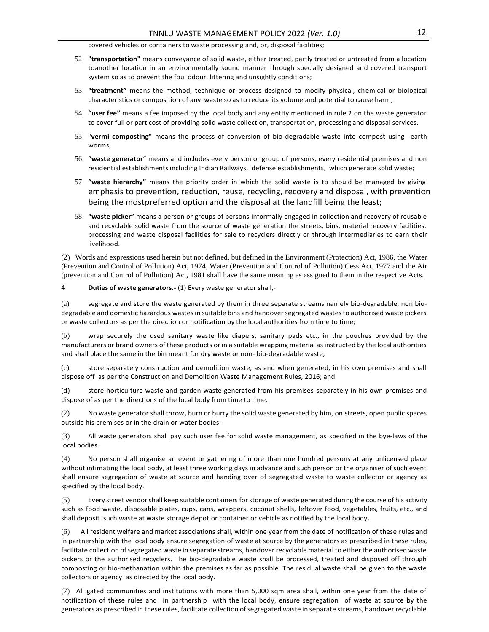covered vehicles or containers to waste processing and, or, disposal facilities;

- 52. **"transportation"** means conveyance of solid waste, either treated, partly treated or untreated from a location toanother location in an environmentally sound manner through specially designed and covered transport system so as to prevent the foul odour, littering and unsightly conditions;
- 53. **"treatment"** means the method, technique or process designed to modify physical, chemical or biological characteristics or composition of any waste so as to reduce its volume and potential to cause harm;
- 54. **"user fee"** means a fee imposed by the local body and any entity mentioned in rule 2 on the waste generator to cover full or part cost of providing solid waste collection, transportation, processing and disposal services.
- 55. "**vermi composting"** means the process of conversion of bio-degradable waste into compost using earth worms;
- 56. "**waste generator**" means and includes every person or group of persons, every residential premises and non residential establishments including Indian Railways, defense establishments, which generate solid waste;
- 57. **"waste hierarchy"** means the priority order in which the solid waste is to should be managed by giving emphasis to prevention, reduction, reuse, recycling, recovery and disposal, with prevention being the mostpreferred option and the disposal at the landfill being the least;
- 58. **"waste picker"** means a person or groups of persons informally engaged in collection and recovery of reusable and recyclable solid waste from the source of waste generation the streets, bins, material recovery facilities, processing and waste disposal facilities for sale to recyclers directly or through intermediaries to earn their livelihood.

(2) Words and expressions used herein but not defined, but defined in the Environment (Protection) Act, 1986, the Water (Prevention and Control of Pollution) Act, 1974, Water (Prevention and Control of Pollution) Cess Act, 1977 and the Air (prevention and Control of Pollution) Act, 1981 shall have the same meaning as assigned to them in the respective Acts.

#### **4 Duties of waste generators.-** (1) Every waste generator shall,-

(a) segregate and store the waste generated by them in three separate streams namely bio-degradable, non biodegradable and domestic hazardous wastes in suitable bins and handover segregated wastes to authorised waste pickers or waste collectors as per the direction or notification by the local authorities from time to time;

(b) wrap securely the used sanitary waste like diapers, sanitary pads etc., in the pouches provided by the manufacturers or brand owners of these products or in a suitable wrapping material as instructed by the local authorities and shall place the same in the bin meant for dry waste or non- bio-degradable waste;

(c) store separately construction and demolition waste, as and when generated, in his own premises and shall dispose off as per the Construction and Demolition Waste Management Rules, 2016; and

(d) store horticulture waste and garden waste generated from his premises separately in his own premises and dispose of as per the directions of the local body from time to time.

(2) No waste generator shall throw**,** burn or burry the solid waste generated by him, on streets, open public spaces outside his premises or in the drain or water bodies.

(3) All waste generators shall pay such user fee for solid waste management, as specified in the bye-laws of the local bodies.

(4) No person shall organise an event or gathering of more than one hundred persons at any unlicensed place without intimating the local body, at least three working days in advance and such person or the organiser of such event shall ensure segregation of waste at source and handing over of segregated waste to waste collector or agency as specified by the local body.

(5) Every street vendorshall keep suitable containersforstorage of waste generated during the course of his activity such as food waste, disposable plates, cups, cans, wrappers, coconut shells, leftover food, vegetables, fruits, etc., and shall deposit such waste at waste storage depot or container or vehicle as notified by the local body**.**

(6) All resident welfare and market associations shall, within one year from the date of notification of these rules and in partnership with the local body ensure segregation of waste at source by the generators as prescribed in these rules, facilitate collection of segregated waste in separate streams, handover recyclable material to either the authorised waste pickers or the authorised recyclers. The bio-degradable waste shall be processed, treated and disposed off through composting or bio-methanation within the premises as far as possible. The residual waste shall be given to the waste collectors or agency as directed by the local body.

(7) All gated communities and institutions with more than 5,000 sqm area shall, within one year from the date of notification of these rules and in partnership with the local body, ensure segregation of waste at source by the generators as prescribed in these rules, facilitate collection of segregated waste in separate streams, handover recyclable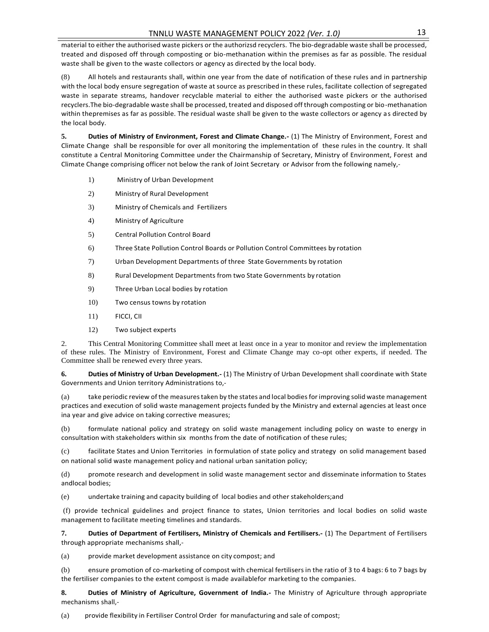material to either the authorised waste pickers or the authorizsd recyclers. The bio-degradable waste shall be processed, treated and disposed off through composting or bio-methanation within the premises as far as possible. The residual waste shall be given to the waste collectors or agency as directed by the local body.

(8) All hotels and restaurants shall, within one year from the date of notification of these rules and in partnership with the local body ensure segregation of waste at source as prescribed in these rules, facilitate collection of segregated waste in separate streams, handover recyclable material to either the authorised waste pickers or the authorised recyclers.The bio-degradable waste shall be processed, treated and disposed off through composting or bio-methanation within thepremises as far as possible. The residual waste shall be given to the waste collectors or agency as directed by the local body.

**5. Duties of Ministry of Environment, Forest and Climate Change.-** (1) The Ministry of Environment, Forest and Climate Change shall be responsible for over all monitoring the implementation of these rules in the country. It shall constitute a Central Monitoring Committee under the Chairmanship of Secretary, Ministry of Environment, Forest and Climate Change comprising officer not below the rank of Joint Secretary or Advisor from the following namely,-

- 1) Ministry of Urban Development
- 2) Ministry of Rural Development
- 3) Ministry of Chemicals and Fertilizers
- 4) Ministry of Agriculture
- 5) Central Pollution Control Board
- 6) Three State Pollution Control Boards or Pollution Control Committees by rotation
- 7) Urban Development Departments of three State Governments by rotation
- 8) Rural Development Departments from two State Governments by rotation
- 9) Three Urban Local bodies by rotation
- 10) Two census towns by rotation
- 11) FICCI, CII
- 12) Two subject experts

2. This Central Monitoring Committee shall meet at least once in a year to monitor and review the implementation of these rules. The Ministry of Environment, Forest and Climate Change may co-opt other experts, if needed. The Committee shall be renewed every three years.

**6. Duties of Ministry of Urban Development.-** (1) The Ministry of Urban Development shall coordinate with State Governments and Union territory Administrations to,-

(a) take periodic review of the measurestaken by the states and local bodiesforimproving solid waste management practices and execution of solid waste management projects funded by the Ministry and external agencies at least once ina year and give advice on taking corrective measures;

(b) formulate national policy and strategy on solid waste management including policy on waste to energy in consultation with stakeholders within six months from the date of notification of these rules;

(c) facilitate States and Union Territories in formulation of state policy and strategy on solid management based on national solid waste management policy and national urban sanitation policy;

(d) promote research and development in solid waste management sector and disseminate information to States andlocal bodies;

(e) undertake training and capacity building of local bodies and other stakeholders;and

(f) provide technical guidelines and project finance to states, Union territories and local bodies on solid waste management to facilitate meeting timelines and standards.

**7. Duties of Department of Fertilisers, Ministry of Chemicals and Fertilisers.-** (1) The Department of Fertilisers through appropriate mechanisms shall,-

(a) provide market development assistance on city compost; and

(b) ensure promotion of co-marketing of compost with chemical fertilisers in the ratio of 3 to 4 bags: 6 to 7 bags by the fertiliser companies to the extent compost is made availablefor marketing to the companies.

**8. Duties of Ministry of Agriculture, Government of India.-** The Ministry of Agriculture through appropriate mechanisms shall,-

(a) provide flexibility in Fertiliser Control Order for manufacturing and sale of compost;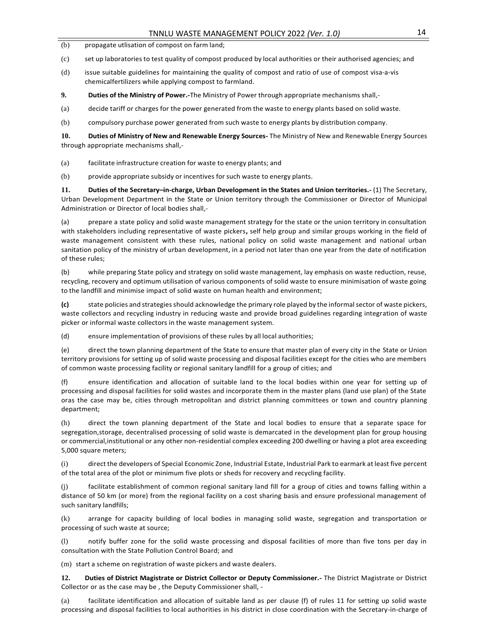- (b) propagate utlisation of compost on farm land;
- (c) set up laboratories to test quality of compost produced by local authorities or their authorised agencies; and
- (d) issue suitable guidelines for maintaining the quality of compost and ratio of use of compost visa-a-vis chemicalfertilizers while applying compost to farmland.
- **9. Duties of the Ministry of Power.-**The Ministry of Power through appropriate mechanisms shall,-
- (a) decide tariff or charges for the power generated from the waste to energy plants based on solid waste.
- (b) compulsory purchase power generated from such waste to energy plants by distribution company.

**10. Duties of Ministry of New and Renewable Energy Sources-** The Ministry of New and Renewable Energy Sources through appropriate mechanisms shall,-

- (a) facilitate infrastructure creation for waste to energy plants; and
- (b) provide appropriate subsidy or incentives for such waste to energy plants.

**11. Duties of the Secretary–in-charge, Urban Development in the States and Union territories.-** (1) The Secretary, Urban Development Department in the State or Union territory through the Commissioner or Director of Municipal Administration or Director of local bodies shall,-

(a) prepare a state policy and solid waste management strategy for the state or the union territory in consultation with stakeholders including representative of waste pickers**,** self help group and similar groups working in the field of waste management consistent with these rules, national policy on solid waste management and national urban sanitation policy of the ministry of urban development, in a period not later than one year from the date of notification of these rules;

(b) while preparing State policy and strategy on solid waste management, lay emphasis on waste reduction, reuse, recycling, recovery and optimum utilisation of various components of solid waste to ensure minimisation of waste going to the landfill and minimise impact of solid waste on human health and environment;

**(c)** state policies and strategies should acknowledge the primary role played by the informal sector of waste pickers, waste collectors and recycling industry in reducing waste and provide broad guidelines regarding integration of waste picker or informal waste collectors in the waste management system.

(d) ensure implementation of provisions of these rules by all local authorities;

(e) direct the town planning department of the State to ensure that master plan of every city in the State or Union territory provisions for setting up of solid waste processing and disposal facilities except for the cities who are members of common waste processing facility or regional sanitary landfill for a group of cities; and

(f) ensure identification and allocation of suitable land to the local bodies within one year for setting up of processing and disposal facilities for solid wastes and incorporate them in the master plans (land use plan) of the State oras the case may be, cities through metropolitan and district planning committees or town and country planning department;

(h) direct the town planning department of the State and local bodies to ensure that a separate space for segregation,storage, decentralised processing of solid waste is demarcated in the development plan for group housing or commercial,institutional or any other non-residential complex exceeding 200 dwelling or having a plot area exceeding 5,000 square meters;

(i) direct the developers of Special Economic Zone, Industrial Estate, Industrial Park to earmark at least five percent of the total area of the plot or minimum five plots or sheds for recovery and recycling facility.

(j) facilitate establishment of common regional sanitary land fill for a group of cities and towns falling within a distance of 50 km (or more) from the regional facility on a cost sharing basis and ensure professional management of such sanitary landfills;

(k) arrange for capacity building of local bodies in managing solid waste, segregation and transportation or processing of such waste at source;

(l) notify buffer zone for the solid waste processing and disposal facilities of more than five tons per day in consultation with the State Pollution Control Board; and

(m) start a scheme on registration of waste pickers and waste dealers.

**12. Duties of District Magistrate or District Collector or Deputy Commissioner.-** The District Magistrate or District Collector or as the case may be , the Deputy Commissioner shall, -

(a) facilitate identification and allocation of suitable land as per clause (f) of rules 11 for setting up solid waste processing and disposal facilities to local authorities in his district in close coordination with the Secretary-in-charge of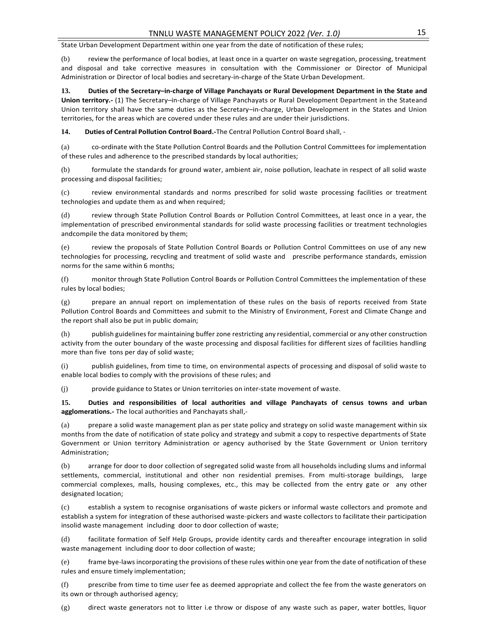State Urban Development Department within one year from the date of notification of these rules;

(b) review the performance of local bodies, at least once in a quarter on waste segregation, processing, treatment and disposal and take corrective measures in consultation with the Commissioner or Director of Municipal Administration or Director of local bodies and secretary-in-charge of the State Urban Development.

**13. Duties of the Secretary–in-charge of Village Panchayats or Rural Development Department in the State and Union territory.-** (1) The Secretary–in-charge of Village Panchayats or Rural Development Department in the Stateand Union territory shall have the same duties as the Secretary–in-charge, Urban Development in the States and Union territories, for the areas which are covered under these rules and are under their jurisdictions.

**14. Duties of Central Pollution Control Board.-**The Central Pollution Control Board shall, -

(a) co-ordinate with the State Pollution Control Boards and the Pollution Control Committees for implementation of these rules and adherence to the prescribed standards by local authorities;

(b) formulate the standards for ground water, ambient air, noise pollution, leachate in respect of all solid waste processing and disposal facilities;

(c) review environmental standards and norms prescribed for solid waste processing facilities or treatment technologies and update them as and when required;

(d) review through State Pollution Control Boards or Pollution Control Committees, at least once in a year, the implementation of prescribed environmental standards for solid waste processing facilities or treatment technologies andcompile the data monitored by them;

(e) review the proposals of State Pollution Control Boards or Pollution Control Committees on use of any new technologies for processing, recycling and treatment of solid waste and prescribe performance standards, emission norms for the same within 6 months;

(f) monitor through State Pollution Control Boards or Pollution Control Committees the implementation of these rules by local bodies;

(g) prepare an annual report on implementation of these rules on the basis of reports received from State Pollution Control Boards and Committees and submit to the Ministry of Environment, Forest and Climate Change and the report shall also be put in public domain;

(h) publish guidelines for maintaining buffer zone restricting any residential, commercial or any other construction activity from the outer boundary of the waste processing and disposal facilities for different sizes of facilities handling more than five tons per day of solid waste;

(i) publish guidelines, from time to time, on environmental aspects of processing and disposal of solid waste to enable local bodies to comply with the provisions of these rules; and

(j) provide guidance to States or Union territories on inter-state movement of waste.

**15. Duties and responsibilities of local authorities and village Panchayats of census towns and urban agglomerations.-** The local authorities and Panchayats shall,-

(a) prepare a solid waste management plan as per state policy and strategy on solid waste management within six months from the date of notification of state policy and strategy and submit a copy to respective departments of State Government or Union territory Administration or agency authorised by the State Government or Union territory Administration;

(b) arrange for door to door collection of segregated solid waste from all households including slums and informal settlements, commercial, institutional and other non residential premises. From multi-storage buildings, large commercial complexes, malls, housing complexes, etc., this may be collected from the entry gate or any other designated location;

(c) establish a system to recognise organisations of waste pickers or informal waste collectors and promote and establish a system for integration of these authorised waste-pickers and waste collectors to facilitate their participation insolid waste management including door to door collection of waste;

(d) facilitate formation of Self Help Groups, provide identity cards and thereafter encourage integration in solid waste management including door to door collection of waste;

(e) frame bye-laws incorporating the provisions of these rules within one year from the date of notification of these rules and ensure timely implementation;

(f) prescribe from time to time user fee as deemed appropriate and collect the fee from the waste generators on its own or through authorised agency;

(g) direct waste generators not to litter i.e throw or dispose of any waste such as paper, water bottles, liquor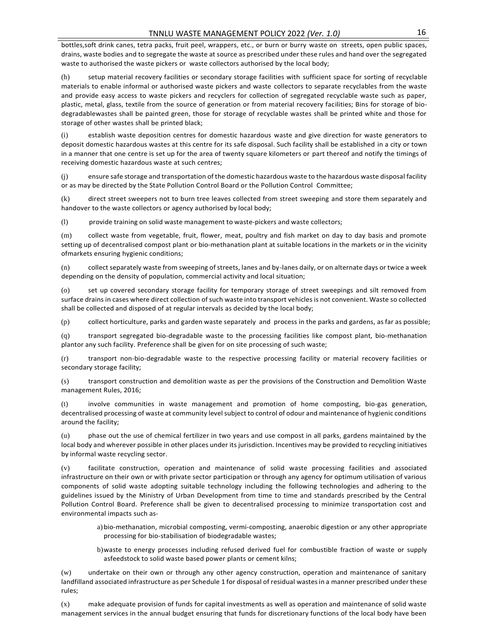bottles,soft drink canes, tetra packs, fruit peel, wrappers, etc., or burn or burry waste on streets, open public spaces, drains, waste bodies and to segregate the waste at source as prescribed under these rules and hand over the segregated waste to authorised the waste pickers or waste collectors authorised by the local body;

(h) setup material recovery facilities or secondary storage facilities with sufficient space for sorting of recyclable materials to enable informal or authorised waste pickers and waste collectors to separate recyclables from the waste and provide easy access to waste pickers and recyclers for collection of segregated recyclable waste such as paper, plastic, metal, glass, textile from the source of generation or from material recovery facilities; Bins for storage of biodegradablewastes shall be painted green, those for storage of recyclable wastes shall be printed white and those for storage of other wastes shall be printed black;

(i) establish waste deposition centres for domestic hazardous waste and give direction for waste generators to deposit domestic hazardous wastes at this centre for its safe disposal. Such facility shall be established in a city or town in a manner that one centre is set up for the area of twenty square kilometers or part thereof and notify the timings of receiving domestic hazardous waste at such centres;

(j) ensure safe storage and transportation of the domestic hazardous waste to the hazardous waste disposal facility or as may be directed by the State Pollution Control Board or the Pollution Control Committee;

(k) direct street sweepers not to burn tree leaves collected from street sweeping and store them separately and handover to the waste collectors or agency authorised by local body;

(l) provide training on solid waste management to waste-pickers and waste collectors;

(m) collect waste from vegetable, fruit, flower, meat, poultry and fish market on day to day basis and promote setting up of decentralised compost plant or bio-methanation plant at suitable locations in the markets or in the vicinity ofmarkets ensuring hygienic conditions;

(n) collect separately waste from sweeping of streets, lanes and by-lanes daily, or on alternate days or twice a week depending on the density of population, commercial activity and local situation;

(o) set up covered secondary storage facility for temporary storage of street sweepings and silt removed from surface drains in cases where direct collection of such waste into transport vehicles is not convenient. Waste so collected shall be collected and disposed of at regular intervals as decided by the local body;

(p) collect horticulture, parks and garden waste separately and process in the parks and gardens, asfar as possible;

(q) transport segregated bio-degradable waste to the processing facilities like compost plant, bio-methanation plantor any such facility. Preference shall be given for on site processing of such waste;

(r) transport non-bio-degradable waste to the respective processing facility or material recovery facilities or secondary storage facility;

(s) transport construction and demolition waste as per the provisions of the Construction and Demolition Waste management Rules, 2016;

(t) involve communities in waste management and promotion of home composting, bio-gas generation, decentralised processing of waste at community level subject to control of odour and maintenance of hygienic conditions around the facility;

(u) phase out the use of chemical fertilizer in two years and use compost in all parks, gardens maintained by the local body and wherever possible in other places under its jurisdiction. Incentives may be provided to recycling initiatives by informal waste recycling sector.

(v) facilitate construction, operation and maintenance of solid waste processing facilities and associated infrastructure on their own or with private sector participation or through any agency for optimum utilisation of various components of solid waste adopting suitable technology including the following technologies and adhering to the guidelines issued by the Ministry of Urban Development from time to time and standards prescribed by the Central Pollution Control Board. Preference shall be given to decentralised processing to minimize transportation cost and environmental impacts such as-

a) bio-methanation, microbial composting, vermi-composting, anaerobic digestion or any other appropriate processing for bio-stabilisation of biodegradable wastes;

b)waste to energy processes including refused derived fuel for combustible fraction of waste or supply asfeedstock to solid waste based power plants or cement kilns;

(w) undertake on their own or through any other agency construction, operation and maintenance of sanitary landfilland associated infrastructure as per Schedule 1 for disposal of residual wastesin a manner prescribed under these rules;

(x) make adequate provision of funds for capital investments as well as operation and maintenance of solid waste management services in the annual budget ensuring that funds for discretionary functions of the local body have been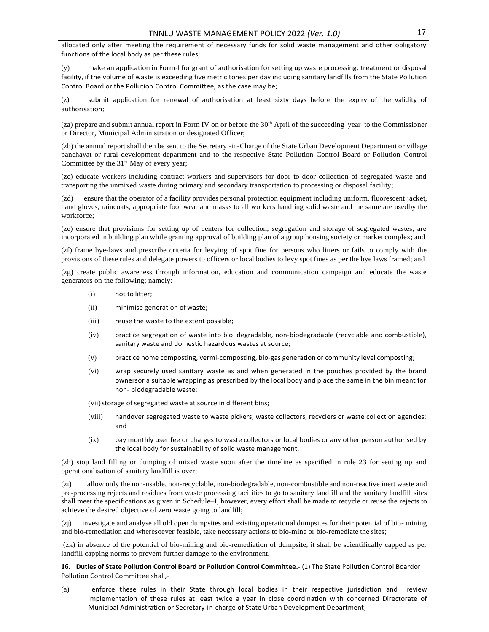allocated only after meeting the requirement of necessary funds for solid waste management and other obligatory functions of the local body as per these rules;

(y) make an application in Form-I for grant of authorisation for setting up waste processing, treatment or disposal facility, if the volume of waste is exceeding five metric tones per day including sanitary landfills from the State Pollution Control Board or the Pollution Control Committee, as the case may be;

(z) submit application for renewal of authorisation at least sixty days before the expiry of the validity of authorisation;

 $(za)$  prepare and submit annual report in Form IV on or before the  $30<sup>th</sup>$  April of the succeeding year to the Commissioner or Director, Municipal Administration or designated Officer;

(zb) the annual report shall then be sent to the Secretary -in-Charge of the State Urban Development Department or village panchayat or rural development department and to the respective State Pollution Control Board or Pollution Control Committee by the  $31<sup>st</sup>$  May of every year;

(zc) educate workers including contract workers and supervisors for door to door collection of segregated waste and transporting the unmixed waste during primary and secondary transportation to processing or disposal facility;

(zd) ensure that the operator of a facility provides personal protection equipment including uniform, fluorescent jacket, hand gloves, raincoats, appropriate foot wear and masks to all workers handling solid waste and the same are usedby the workforce;

(ze) ensure that provisions for setting up of centers for collection, segregation and storage of segregated wastes, are incorporated in building plan while granting approval of building plan of a group housing society or market complex; and

(zf) frame bye-laws and prescribe criteria for levying of spot fine for persons who litters or fails to comply with the provisions of these rules and delegate powers to officers or local bodies to levy spot fines as per the bye laws framed; and

(zg) create public awareness through information, education and communication campaign and educate the waste generators on the following; namely:-

- (i) not to litter;
- (ii) minimise generation of waste;
- (iii) reuse the waste to the extent possible;
- (iv) practice segregation of waste into bio–degradable, non-biodegradable (recyclable and combustible), sanitary waste and domestic hazardous wastes at source;
- (v) practice home composting, vermi-composting, bio-gas generation or community level composting;
- (vi) wrap securely used sanitary waste as and when generated in the pouches provided by the brand ownersor a suitable wrapping as prescribed by the local body and place the same in the bin meant for non- biodegradable waste;
- (vii) storage of segregated waste at source in different bins;
- (viii) handover segregated waste to waste pickers, waste collectors, recyclers or waste collection agencies; and
- (ix) pay monthly user fee or charges to waste collectors or local bodies or any other person authorised by the local body for sustainability of solid waste management.

(zh) stop land filling or dumping of mixed waste soon after the timeline as specified in rule 23 for setting up and operationalisation of sanitary landfill is over;

(zi) allow only the non-usable, non-recyclable, non-biodegradable, non-combustible and non-reactive inert waste and pre-processing rejects and residues from waste processing facilities to go to sanitary landfill and the sanitary landfill sites shall meet the specifications as given in Schedule–I, however, every effort shall be made to recycle or reuse the rejects to achieve the desired objective of zero waste going to landfill;

(zj) investigate and analyse all old open dumpsites and existing operational dumpsites for their potential of bio- mining and bio-remediation and wheresoever feasible, take necessary actions to bio-mine or bio-remediate the sites;

(zk) in absence of the potential of bio-mining and bio-remediation of dumpsite, it shall be scientifically capped as per landfill capping norms to prevent further damage to the environment.

**16. Duties of State Pollution Control Board or Pollution Control Committee.-** (1) The State Pollution Control Boardor Pollution Control Committee shall,-

(a) enforce these rules in their State through local bodies in their respective jurisdiction and review implementation of these rules at least twice a year in close coordination with concerned Directorate of Municipal Administration or Secretary-in-charge of State Urban Development Department;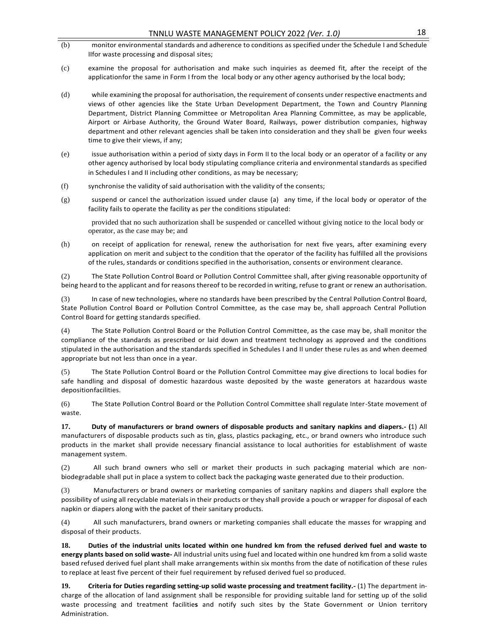- (b) monitor environmental standards and adherence to conditions as specified under the Schedule I and Schedule IIfor waste processing and disposal sites;
- (c) examine the proposal for authorisation and make such inquiries as deemed fit, after the receipt of the applicationfor the same in Form I from the local body or any other agency authorised by the local body;
- (d) while examining the proposal for authorisation, the requirement of consents under respective enactments and views of other agencies like the State Urban Development Department, the Town and Country Planning Department, District Planning Committee or Metropolitan Area Planning Committee, as may be applicable, Airport or Airbase Authority, the Ground Water Board, Railways, power distribution companies, highway department and other relevant agencies shall be taken into consideration and they shall be given four weeks time to give their views, if any;
- (e) issue authorisation within a period of sixty days in Form II to the local body or an operator of a facility or any other agency authorised by local body stipulating compliance criteria and environmental standards as specified in Schedules I and II including other conditions, as may be necessary;
- (f) synchronise the validity of said authorisation with the validity of the consents;
- $(g)$  suspend or cancel the authorization issued under clause (a) any time, if the local body or operator of the facility fails to operate the facility as per the conditions stipulated:

provided that no such authorization shall be suspended or cancelled without giving notice to the local body or operator, as the case may be; and

(h) on receipt of application for renewal, renew the authorisation for next five years, after examining every application on merit and subject to the condition that the operator of the facility has fulfilled all the provisions of the rules, standards or conditions specified in the authorisation, consents or environment clearance.

(2) The State Pollution Control Board or Pollution Control Committee shall, after giving reasonable opportunity of being heard to the applicant and for reasons thereof to be recorded in writing, refuse to grant or renew an authorisation.

In case of new technologies, where no standards have been prescribed by the Central Pollution Control Board, State Pollution Control Board or Pollution Control Committee, as the case may be, shall approach Central Pollution Control Board for getting standards specified.

(4) The State Pollution Control Board or the Pollution Control Committee, as the case may be, shall monitor the compliance of the standards as prescribed or laid down and treatment technology as approved and the conditions stipulated in the authorisation and the standards specified in Schedules I and II under these rules as and when deemed appropriate but not less than once in a year.

(5) The State Pollution Control Board or the Pollution Control Committee may give directions to local bodies for safe handling and disposal of domestic hazardous waste deposited by the waste generators at hazardous waste depositionfacilities.

(6) The State Pollution Control Board or the Pollution Control Committee shall regulate Inter-State movement of waste.

**17. Duty of manufacturers or brand owners of disposable products and sanitary napkins and diapers.- (**1) All manufacturers of disposable products such as tin, glass, plastics packaging, etc., or brand owners who introduce such products in the market shall provide necessary financial assistance to local authorities for establishment of waste management system.

(2) All such brand owners who sell or market their products in such packaging material which are nonbiodegradable shall put in place a system to collect back the packaging waste generated due to their production.

(3) Manufacturers or brand owners or marketing companies of sanitary napkins and diapers shall explore the possibility of using all recyclable materials in their products or they shall provide a pouch or wrapper for disposal of each napkin or diapers along with the packet of their sanitary products.

(4) All such manufacturers, brand owners or marketing companies shall educate the masses for wrapping and disposal of their products.

**18. Duties of the industrial units located within one hundred km from the refused derived fuel and waste to energy plants based on solid waste-** All industrial units using fuel and located within one hundred km from a solid waste based refused derived fuel plant shall make arrangements within six months from the date of notification of these rules to replace at least five percent of their fuel requirement by refused derived fuel so produced.

**19. Criteria for Duties regarding setting-up solid waste processing and treatment facility.-** (1) The department incharge of the allocation of land assignment shall be responsible for providing suitable land for setting up of the solid waste processing and treatment facilitie**s** and notify such sites by the State Government or Union territory Administration.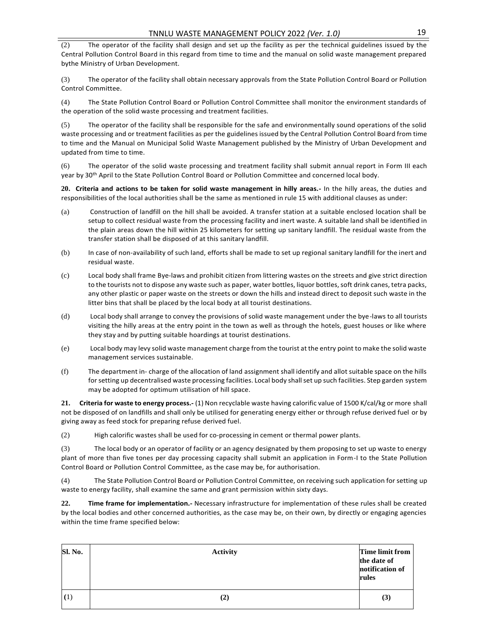(2) The operator of the facility shall design and set up the facility as per the technical guidelines issued by the Central Pollution Control Board in this regard from time to time and the manual on solid waste management prepared bythe Ministry of Urban Development.

(3) The operator of the facility shall obtain necessary approvals from the State Pollution Control Board or Pollution Control Committee.

(4) The State Pollution Control Board or Pollution Control Committee shall monitor the environment standards of the operation of the solid waste processing and treatment facilities.

(5) The operator of the facility shall be responsible for the safe and environmentally sound operations of the solid waste processing and or treatment facilities as per the guidelines issued by the Central Pollution Control Board from time to time and the Manual on Municipal Solid Waste Management published by the Ministry of Urban Development and updated from time to time.

(6) The operator of the solid waste processing and treatment facility shall submit annual report in Form III each year by 30<sup>th</sup> April to the State Pollution Control Board or Pollution Committee and concerned local body.

**20. Criteria and actions to be taken for solid waste management in hilly areas.-** In the hilly areas, the duties and responsibilities of the local authorities shall be the same as mentioned in rule 15 with additional clauses as under:

- (a) Construction of landfill on the hill shall be avoided. A transfer station at a suitable enclosed location shall be setup to collect residual waste from the processing facility and inert waste. A suitable land shall be identified in the plain areas down the hill within 25 kilometers for setting up sanitary landfill. The residual waste from the transfer station shall be disposed of at this sanitary landfill.
- (b) In case of non-availability of such land, efforts shall be made to set up regional sanitary landfill for the inert and residual waste.
- (c) Local body shall frame Bye-laws and prohibit citizen from littering wastes on the streets and give strict direction to the tourists not to dispose any waste such as paper, water bottles, liquor bottles, soft drink canes, tetra packs, any other plastic or paper waste on the streets or down the hills and instead direct to deposit such waste in the litter bins that shall be placed by the local body at all tourist destinations.
- (d) Local body shall arrange to convey the provisions of solid waste management under the bye-laws to all tourists visiting the hilly areas at the entry point in the town as well as through the hotels, guest houses or like where they stay and by putting suitable hoardings at tourist destinations.
- (e) Local body may levy solid waste management charge from the tourist at the entry point to make the solid waste management services sustainable.
- (f) The department in- charge of the allocation of land assignment shall identify and allot suitable space on the hills for setting up decentralised waste processing facilities. Local body shall set up such facilities. Step garden system may be adopted for optimum utilisation of hill space.

**21. Criteria for waste to energy process.-** (1) Non recyclable waste having calorific value of 1500 K/cal/kg or more shall not be disposed of on landfills and shall only be utilised for generating energy either or through refuse derived fuel or by giving away as feed stock for preparing refuse derived fuel.

(2) High calorific wastes shall be used for co-processing in cement or thermal power plants.

(3) The local body or an operator of facility or an agency designated by them proposing to set up waste to energy plant of more than five tones per day processing capacity shall submit an application in Form-I to the State Pollution Control Board or Pollution Control Committee, as the case may be, for authorisation.

(4) The State Pollution Control Board or Pollution Control Committee, on receiving such application for setting up waste to energy facility, shall examine the same and grant permission within sixty days.

**22. Time frame for implementation.-** Necessary infrastructure for implementation of these rules shall be created by the local bodies and other concerned authorities, as the case may be, on their own, by directly or engaging agencies within the time frame specified below:

| Sl. No. | <b>Activity</b> | Time limit from<br>the date of<br>notification of<br>rules |
|---------|-----------------|------------------------------------------------------------|
| (1)     | $\rm(2)$        | (3)                                                        |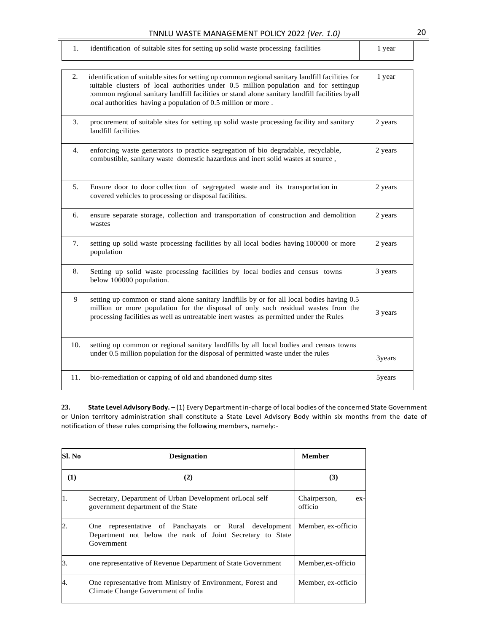| TIVIVED WASTE MANAGEMENT FOLICT ZUZZ (VEI. 1.0) |                                                                                   |      |  |  |  |
|-------------------------------------------------|-----------------------------------------------------------------------------------|------|--|--|--|
|                                                 | identification of suitable sites for setting up solid waste processing facilities | vear |  |  |  |
|                                                 |                                                                                   |      |  |  |  |

| 2.               | dentification of suitable sites for setting up common regional sanitary landfill facilities for<br>suitable clusters of local authorities under 0.5 million population and for settingup<br>common regional sanitary landfill facilities or stand alone sanitary landfill facilities byall<br>ocal authorities having a population of 0.5 million or more. | 1 year  |
|------------------|------------------------------------------------------------------------------------------------------------------------------------------------------------------------------------------------------------------------------------------------------------------------------------------------------------------------------------------------------------|---------|
| 3.               | procurement of suitable sites for setting up solid waste processing facility and sanitary<br>landfill facilities                                                                                                                                                                                                                                           | 2 years |
| $\overline{4}$ . | enforcing waste generators to practice segregation of bio degradable, recyclable,<br>combustible, sanitary waste domestic hazardous and inert solid wastes at source,                                                                                                                                                                                      | 2 years |
| 5.               | Ensure door to door collection of segregated waste and its transportation in<br>covered vehicles to processing or disposal facilities.                                                                                                                                                                                                                     | 2 years |
| 6.               | ensure separate storage, collection and transportation of construction and demolition<br>wastes                                                                                                                                                                                                                                                            | 2 years |
| 7.               | setting up solid waste processing facilities by all local bodies having 100000 or more<br>population                                                                                                                                                                                                                                                       | 2 years |
| 8.               | Setting up solid waste processing facilities by local bodies and census towns<br>below 100000 population.                                                                                                                                                                                                                                                  | 3 years |
| 9                | setting up common or stand alone sanitary landfills by or for all local bodies having 0.5<br>million or more population for the disposal of only such residual wastes from the<br>processing facilities as well as untreatable inert wastes as permitted under the Rules                                                                                   | 3 years |
| 10.              | setting up common or regional sanitary landfills by all local bodies and census towns<br>under 0.5 million population for the disposal of permitted waste under the rules                                                                                                                                                                                  | 3years  |
| 11.              | bio-remediation or capping of old and abandoned dump sites                                                                                                                                                                                                                                                                                                 | 5years  |
|                  |                                                                                                                                                                                                                                                                                                                                                            |         |

**23. State Level Advisory Body. –** (1) Every Department in-charge of local bodies of the concerned State Government or Union territory administration shall constitute a State Level Advisory Body within six months from the date of notification of these rules comprising the following members, namely:-

| <b>Sl. No</b>  | <b>Designation</b>                                                                                                               | <b>Member</b>                    |
|----------------|----------------------------------------------------------------------------------------------------------------------------------|----------------------------------|
| (1)            | (2)                                                                                                                              | (3)                              |
| 1.             | Secretary, Department of Urban Development or Local self<br>government department of the State                                   | Chairperson,<br>$ex-$<br>officio |
| $\overline{2}$ | One representative of Panchayats or Rural development<br>Department not below the rank of Joint Secretary to State<br>Government | Member, ex-officio               |
| 3.             | one representative of Revenue Department of State Government                                                                     | Member, ex-officio               |
| 4.             | One representative from Ministry of Environment, Forest and<br>Climate Change Government of India                                | Member, ex-officio               |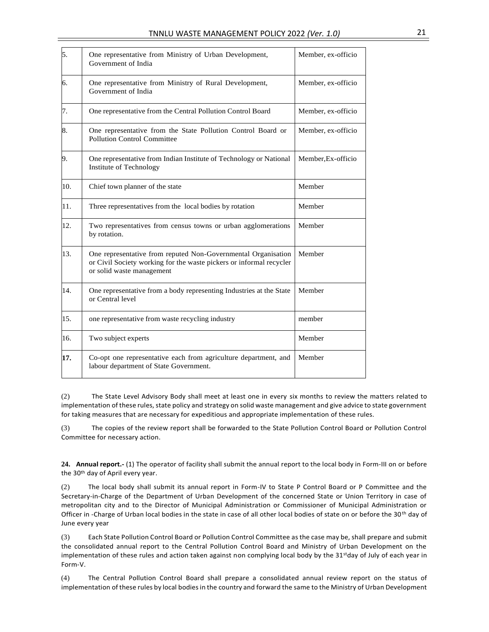| 5.  | One representative from Ministry of Urban Development,<br>Government of India                                                                                     | Member, ex-officio |
|-----|-------------------------------------------------------------------------------------------------------------------------------------------------------------------|--------------------|
| 6.  | One representative from Ministry of Rural Development,<br>Government of India                                                                                     | Member, ex-officio |
| 7.  | One representative from the Central Pollution Control Board                                                                                                       | Member, ex-officio |
| 8.  | One representative from the State Pollution Control Board or<br><b>Pollution Control Committee</b>                                                                | Member, ex-officio |
| 9.  | One representative from Indian Institute of Technology or National<br>Institute of Technology                                                                     | Member, Ex-officio |
| 10. | Chief town planner of the state                                                                                                                                   | Member             |
| 11. | Three representatives from the local bodies by rotation                                                                                                           | Member             |
| 12. | Two representatives from census towns or urban agglomerations<br>by rotation.                                                                                     | Member             |
| 13. | One representative from reputed Non-Governmental Organisation<br>or Civil Society working for the waste pickers or informal recycler<br>or solid waste management | Member             |
| 14. | One representative from a body representing Industries at the State<br>or Central level                                                                           | Member             |
| 15. | one representative from waste recycling industry                                                                                                                  | member             |
| 16. | Two subject experts                                                                                                                                               | Member             |
| 17. | Co-opt one representative each from agriculture department, and<br>labour department of State Government.                                                         | Member             |

(2) The State Level Advisory Body shall meet at least one in every six months to review the matters related to implementation of these rules, state policy and strategy on solid waste management and give advice to state government for taking measures that are necessary for expeditious and appropriate implementation of these rules.

(3) The copies of the review report shall be forwarded to the State Pollution Control Board or Pollution Control Committee for necessary action.

**24. Annual report.-** (1) The operator of facility shall submit the annual report to the local body in Form-III on or before the 30<sup>th</sup> day of April every year.

(2) The local body shall submit its annual report in Form-IV to State P Control Board or P Committee and the Secretary-in-Charge of the Department of Urban Development of the concerned State or Union Territory in case of metropolitan city and to the Director of Municipal Administration or Commissioner of Municipal Administration or Officer in -Charge of Urban local bodies in the state in case of all other local bodies of state on or before the 30<sup>th</sup> day of June every year

(3) Each State Pollution Control Board or Pollution Control Committee as the case may be, shall prepare and submit the consolidated annual report to the Central Pollution Control Board and Ministry of Urban Development on the implementation of these rules and action taken against non complying local body by the 31<sup>st</sup>day of July of each year in Form-V.

(4) The Central Pollution Control Board shall prepare a consolidated annual review report on the status of implementation of these rules by local bodiesin the country and forward the same to the Ministry of Urban Development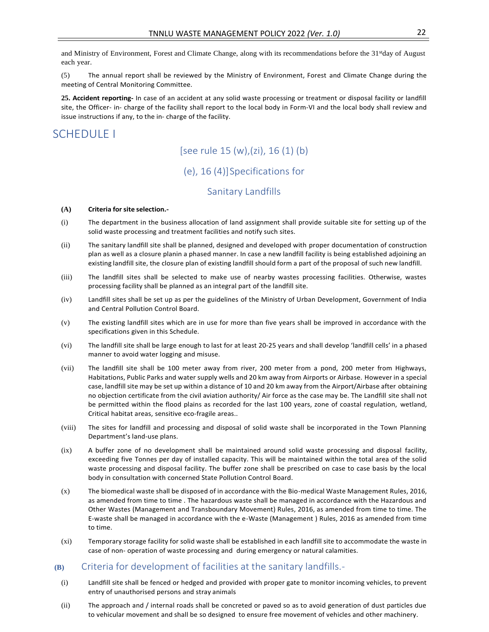and Ministry of Environment, Forest and Climate Change, along with its recommendations before the 31stday of August each year.

(5) The annual report shall be reviewed by the Ministry of Environment, Forest and Climate Change during the meeting of Central Monitoring Committee.

**25. Accident reporting-** In case of an accident at any solid waste processing or treatment or disposal facility or landfill site, the Officer- in- charge of the facility shall report to the local body in Form-VI and the local body shall review and issue instructions if any, to the in- charge of the facility.

## SCHEDULE I

## [see rule 15 (w),(zi), 16 (1) (b)

## (e), 16 (4)]Specifications for

## Sanitary Landfills

#### **(A) Criteria for site selection.-**

- (i) The department in the business allocation of land assignment shall provide suitable site for setting up of the solid waste processing and treatment facilities and notify such sites.
- (ii) The sanitary landfill site shall be planned, designed and developed with proper documentation of construction plan as well as a closure planin a phased manner. In case a new landfill facility is being established adjoining an existing landfill site, the closure plan of existing landfill should form a part of the proposal of such new landfill.
- (iii) The landfill sites shall be selected to make use of nearby wastes processing facilities. Otherwise, wastes processing facility shall be planned as an integral part of the landfill site.
- (iv) Landfill sites shall be set up as per the guidelines of the Ministry of Urban Development, Government of India and Central Pollution Control Board.
- (v) The existing landfill sites which are in use for more than five years shall be improved in accordance with the specifications given in this Schedule.
- (vi) The landfill site shall be large enough to last for at least 20-25 years and shall develop 'landfill cells' in a phased manner to avoid water logging and misuse.
- (vii) The landfill site shall be 100 meter away from river, 200 meter from a pond, 200 meter from Highways, Habitations, Public Parks and water supply wells and 20 km away from Airports or Airbase. However in a special case, landfill site may be set up within a distance of 10 and 20 km away from the Airport/Airbase after obtaining no objection certificate from the civil aviation authority/ Air force as the case may be. The Landfill site shall not be permitted within the flood plains as recorded for the last 100 years, zone of coastal regulation, wetland, Critical habitat areas, sensitive eco-fragile areas..
- (viii) The sites for landfill and processing and disposal of solid waste shall be incorporated in the Town Planning Department's land-use plans.
- (ix) A buffer zone of no development shall be maintained around solid waste processing and disposal facility, exceeding five Tonnes per day of installed capacity. This will be maintained within the total area of the solid waste processing and disposal facility. The buffer zone shall be prescribed on case to case basis by the local body in consultation with concerned State Pollution Control Board.
- (x) The biomedical waste shall be disposed of in accordance with the Bio-medical Waste Management Rules, 2016, as amended from time to time . The hazardous waste shall be managed in accordance with the Hazardous and Other Wastes (Management and Transboundary Movement) Rules, 2016, as amended from time to time. The E-waste shall be managed in accordance with the e-Waste (Management ) Rules, 2016 as amended from time to time.
- (xi) Temporary storage facility for solid waste shall be established in each landfill site to accommodate the waste in case of non- operation of waste processing and during emergency or natural calamities.

#### **(B)** Criteria for development of facilities at the sanitary landfills.-

- (i) Landfill site shall be fenced or hedged and provided with proper gate to monitor incoming vehicles, to prevent entry of unauthorised persons and stray animals
- (ii) The approach and / internal roads shall be concreted or paved so as to avoid generation of dust particles due to vehicular movement and shall be so designed to ensure free movement of vehicles and other machinery.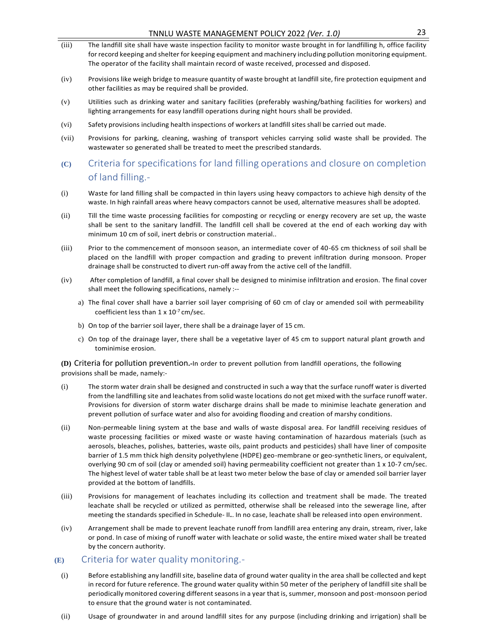- (iii) The landfill site shall have waste inspection facility to monitor waste brought in for landfilling h, office facility for record keeping and shelter for keeping equipment and machinery including pollution monitoring equipment. The operator of the facility shall maintain record of waste received, processed and disposed.
- (iv) Provisions like weigh bridge to measure quantity of waste brought at landfill site, fire protection equipment and other facilities as may be required shall be provided.
- (v) Utilities such as drinking water and sanitary facilities (preferably washing/bathing facilities for workers) and lighting arrangements for easy landfill operations during night hours shall be provided.
- (vi) Safety provisions including health inspections of workers at landfill sites shall be carried out made.
- (vii) Provisions for parking, cleaning, washing of transport vehicles carrying solid waste shall be provided. The wastewater so generated shall be treated to meet the prescribed standards.
- **(C)** Criteria for specifications for land filling operations and closure on completion of land filling.-
- (i) Waste for land filling shall be compacted in thin layers using heavy compactors to achieve high density of the waste. In high rainfall areas where heavy compactors cannot be used, alternative measures shall be adopted.
- (ii) Till the time waste processing facilities for composting or recycling or energy recovery are set up, the waste shall be sent to the sanitary landfill. The landfill cell shall be covered at the end of each working day with minimum 10 cm of soil, inert debris or construction material..
- (iii) Prior to the commencement of monsoon season, an intermediate cover of 40-65 cm thickness of soil shall be placed on the landfill with proper compaction and grading to prevent infiltration during monsoon. Proper drainage shall be constructed to divert run-off away from the active cell of the landfill.
- (iv) After completion of landfill, a final cover shall be designed to minimise infiltration and erosion. The final cover shall meet the following specifications, namely :-
	- a) The final cover shall have a barrier soil layer comprising of 60 cm of clay or amended soil with permeability coefficient less than  $1 \times 10^{-7}$  cm/sec.
	- b) On top of the barrier soil layer, there shall be a drainage layer of 15 cm.
	- c) On top of the drainage layer, there shall be a vegetative layer of 45 cm to support natural plant growth and tominimise erosion.

**(D)** Criteria for pollution prevention**.-**In order to prevent pollution from landfill operations, the following provisions shall be made, namely:-

- (i) The storm water drain shall be designed and constructed in such a way that the surface runoff water is diverted from the landfilling site and leachates from solid waste locations do not get mixed with the surface runoff water. Provisions for diversion of storm water discharge drains shall be made to minimise leachate generation and prevent pollution of surface water and also for avoiding flooding and creation of marshy conditions.
- (ii) Non-permeable lining system at the base and walls of waste disposal area. For landfill receiving residues of waste processing facilities or mixed waste or waste having contamination of hazardous materials (such as aerosols, bleaches, polishes, batteries, waste oils, paint products and pesticides) shall have liner of composite barrier of 1.5 mm thick high density polyethylene (HDPE) geo-membrane or geo-synthetic liners, or equivalent, overlying 90 cm of soil (clay or amended soil) having permeability coefficient not greater than 1 x 10-7 cm/sec. The highest level of water table shall be at least two meter below the base of clay or amended soil barrier layer provided at the bottom of landfills.
- (iii) Provisions for management of leachates including its collection and treatment shall be made. The treated leachate shall be recycled or utilized as permitted, otherwise shall be released into the sewerage line, after meeting the standards specified in Schedule- II**.**. In no case, leachate shall be released into open environment.
- (iv) Arrangement shall be made to prevent leachate runoff from landfill area entering any drain, stream, river, lake or pond. In case of mixing of runoff water with leachate or solid waste, the entire mixed water shall be treated by the concern authority.

#### **(E)** Criteria for water quality monitoring.-

- (i) Before establishing any landfill site, baseline data of ground water quality in the area shall be collected and kept in record for future reference. The ground water quality within 50 meter of the periphery of landfill site shall be periodically monitored covering different seasons in a year that is, summer, monsoon and post-monsoon period to ensure that the ground water is not contaminated.
- (ii) Usage of groundwater in and around landfill sites for any purpose (including drinking and irrigation) shall be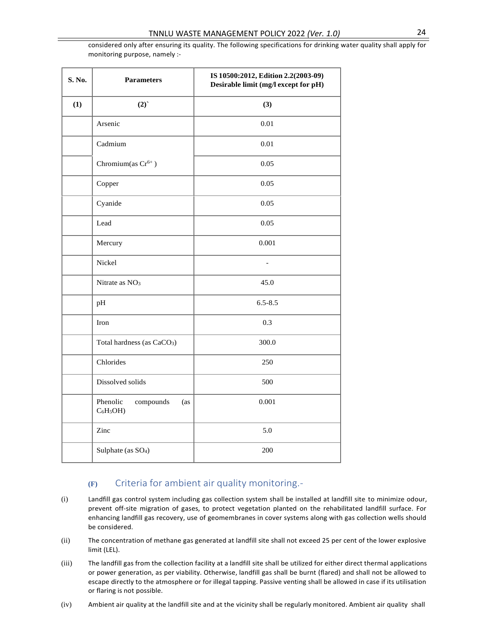considered only after ensuring its quality. The following specifications for drinking water quality shall apply for monitoring purpose, namely :-

| S. No. | <b>Parameters</b>                          | IS 10500:2012, Edition 2.2(2003-09)<br>Desirable limit (mg/l except for pH) |  |
|--------|--------------------------------------------|-----------------------------------------------------------------------------|--|
| (1)    | (2)                                        | (3)                                                                         |  |
|        | Arsenic                                    | $0.01\,$                                                                    |  |
|        | Cadmium                                    | $0.01\,$                                                                    |  |
|        | Chromium(as $Cr^{6+}$ )                    | 0.05                                                                        |  |
|        | Copper                                     | 0.05                                                                        |  |
|        | Cyanide                                    | 0.05                                                                        |  |
|        | Lead                                       | 0.05                                                                        |  |
|        | Mercury                                    | 0.001                                                                       |  |
|        | Nickel                                     |                                                                             |  |
|        | Nitrate as $NO3$                           | 45.0                                                                        |  |
|        | pH                                         | $6.5 - 8.5$                                                                 |  |
|        | Iron                                       | 0.3                                                                         |  |
|        | Total hardness (as CaCO <sub>3</sub> )     | 300.0                                                                       |  |
|        | Chlorides                                  | 250                                                                         |  |
|        | Dissolved solids                           | 500                                                                         |  |
|        | Phenolic<br>compounds<br>(as<br>$C_6H_5OH$ | 0.001                                                                       |  |
|        | Zinc                                       | 5.0                                                                         |  |
|        | Sulphate (as SO <sub>4</sub> )             | 200                                                                         |  |

## **(F)** Criteria for ambient air quality monitoring.-

- (i) Landfill gas control system including gas collection system shall be installed at landfill site to minimize odour, prevent off-site migration of gases, to protect vegetation planted on the rehabilitated landfill surface. For enhancing landfill gas recovery, use of geomembranes in cover systems along with gas collection wells should be considered.
- (ii) The concentration of methane gas generated at landfill site shall not exceed 25 per cent of the lower explosive limit (LEL).
- (iii) The landfill gas from the collection facility at a landfill site shall be utilized for either direct thermal applications or power generation, as per viability. Otherwise, landfill gas shall be burnt (flared) and shall not be allowed to escape directly to the atmosphere or for illegal tapping. Passive venting shall be allowed in case if its utilisation or flaring is not possible.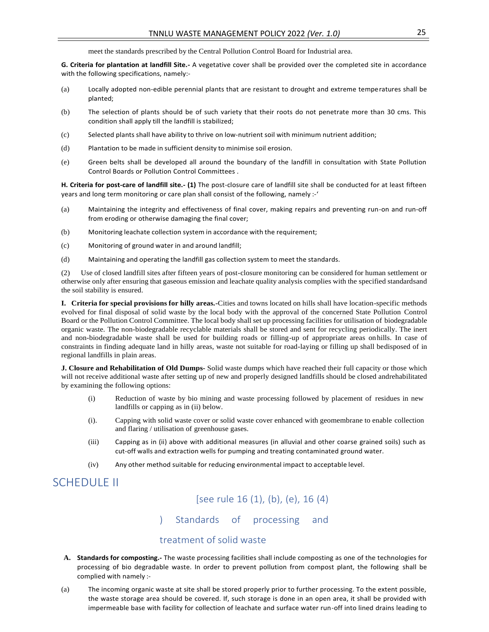meet the standards prescribed by the Central Pollution Control Board for Industrial area.

**G. Criteria for plantation at landfill Site.-** A vegetative cover shall be provided over the completed site in accordance with the following specifications, namely:-

- (a) Locally adopted non-edible perennial plants that are resistant to drought and extreme temperatures shall be planted;
- (b) The selection of plants should be of such variety that their roots do not penetrate more than 30 cms. This condition shall apply till the landfill is stabilized;
- (c) Selected plants shall have ability to thrive on low-nutrient soil with minimum nutrient addition;
- (d) Plantation to be made in sufficient density to minimise soil erosion.
- (e) Green belts shall be developed all around the boundary of the landfill in consultation with State Pollution Control Boards or Pollution Control Committees .

**H. Criteria for post-care of landfill site.- (1)** The post-closure care of landfill site shall be conducted for at least fifteen years and long term monitoring or care plan shall consist of the following, namely :-'

- (a) Maintaining the integrity and effectiveness of final cover, making repairs and preventing run-on and run-off from eroding or otherwise damaging the final cover;
- (b) Monitoring leachate collection system in accordance with the requirement;
- (c) Monitoring of ground water in and around landfill;
- (d) Maintaining and operating the landfill gas collection system to meet the standards.

(2) Use of closed landfill sites after fifteen years of post-closure monitoring can be considered for human settlement or otherwise only after ensuring that gaseous emission and leachate quality analysis complies with the specified standardsand the soil stability is ensured.

**I. Criteria for special provisions for hilly areas.-**Cities and towns located on hills shall have location-specific methods evolved for final disposal of solid waste by the local body with the approval of the concerned State Pollution Control Board or the Pollution Control Committee. The local body shall set up processing facilities for utilisation of biodegradable organic waste. The non-biodegradable recyclable materials shall be stored and sent for recycling periodically. The inert and non-biodegradable waste shall be used for building roads or filling-up of appropriate areas onhills. In case of constraints in finding adequate land in hilly areas, waste not suitable for road-laying or filling up shall bedisposed of in regional landfills in plain areas.

**J. Closure and Rehabilitation of Old Dumps-** Solid waste dumps which have reached their full capacity or those which will not receive additional waste after setting up of new and properly designed landfills should be closed andrehabilitated by examining the following options:

- (i) Reduction of waste by bio mining and waste processing followed by placement of residues in new landfills or capping as in (ii) below.
- (i). Capping with solid waste cover or solid waste cover enhanced with geomembrane to enable collection and flaring / utilisation of greenhouse gases.
- (iii) Capping as in (ii) above with additional measures (in alluvial and other coarse grained soils) such as cut-off walls and extraction wells for pumping and treating contaminated ground water.
- (iv) Any other method suitable for reducing environmental impact to acceptable level.

## SCHEDULE II

[see rule 16 (1), (b), (e), 16 (4)

) Standards of processing and

#### treatment of solid waste

- **A. Standards for composting.-** The waste processing facilities shall include composting as one of the technologies for processing of bio degradable waste. In order to prevent pollution from compost plant, the following shall be complied with namely :-
- (a) The incoming organic waste at site shall be stored properly prior to further processing. To the extent possible, the waste storage area should be covered. If, such storage is done in an open area, it shall be provided with impermeable base with facility for collection of leachate and surface water run-off into lined drains leading to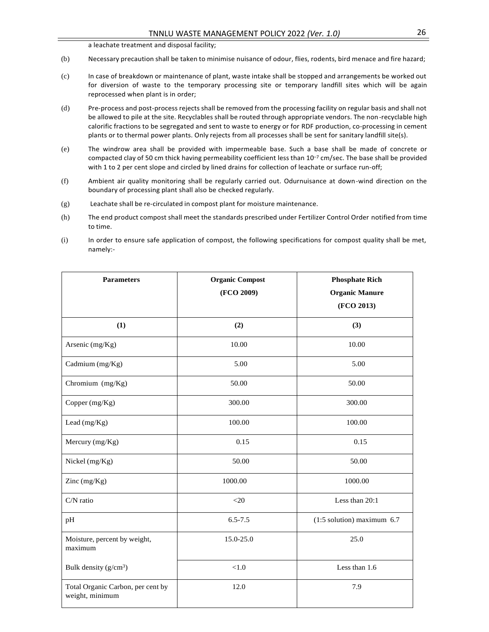a leachate treatment and disposal facility;

- (b) Necessary precaution shall be taken to minimise nuisance of odour, flies, rodents, bird menace and fire hazard;
- (c) In case of breakdown or maintenance of plant, waste intake shall be stopped and arrangements be worked out for diversion of waste to the temporary processing site or temporary landfill sites which will be again reprocessed when plant is in order;
- (d) Pre-process and post-process rejects shall be removed from the processing facility on regular basis and shall not be allowed to pile at the site. Recyclables shall be routed through appropriate vendors. The non-recyclable high calorific fractions to be segregated and sent to waste to energy or for RDF production, co-processing in cement plants or to thermal power plants. Only rejects from all processes shall be sent for sanitary landfill site(s).
- (e) The windrow area shall be provided with impermeable base. Such a base shall be made of concrete or compacted clay of 50 cm thick having permeability coefficient less than 10<sup>-7</sup> cm/sec. The base shall be provided with 1 to 2 per cent slope and circled by lined drains for collection of leachate or surface run-off;
- (f) Ambient air quality monitoring shall be regularly carried out. Odurnuisance at down-wind direction on the boundary of processing plant shall also be checked regularly.
- (g) Leachate shall be re-circulated in compost plant for moisture maintenance.
- (h) The end product compost shall meet the standards prescribed under Fertilizer Control Order notified from time to time.
- (i) In order to ensure safe application of compost, the following specifications for compost quality shall be met, namely:-

| <b>Parameters</b>                                    | <b>Organic Compost</b><br>(FCO 2009) | <b>Phosphate Rich</b><br><b>Organic Manure</b><br>(FCO 2013) |
|------------------------------------------------------|--------------------------------------|--------------------------------------------------------------|
| (1)                                                  | (2)                                  | (3)                                                          |
| Arsenic (mg/Kg)                                      | 10.00                                | 10.00                                                        |
| Cadmium (mg/Kg)                                      | 5.00                                 | 5.00                                                         |
| Chromium (mg/Kg)                                     | 50.00                                | 50.00                                                        |
| Copper (mg/Kg)                                       | 300.00                               | 300.00                                                       |
| Lead (mg/Kg)                                         | 100.00                               | 100.00                                                       |
| Mercury (mg/Kg)                                      | 0.15                                 | 0.15                                                         |
| Nickel (mg/Kg)                                       | 50.00                                | 50.00                                                        |
| Zinc $(mg/Kg)$                                       | 1000.00                              | 1000.00                                                      |
| C/N ratio                                            | $<$ 20                               | Less than 20:1                                               |
| pH                                                   | $6.5 - 7.5$                          | $(1:5$ solution) maximum $6.7$                               |
| Moisture, percent by weight,<br>maximum              | 15.0-25.0                            | 25.0                                                         |
| Bulk density $(g/cm^3)$                              | < 1.0                                | Less than 1.6                                                |
| Total Organic Carbon, per cent by<br>weight, minimum | 12.0                                 | 7.9                                                          |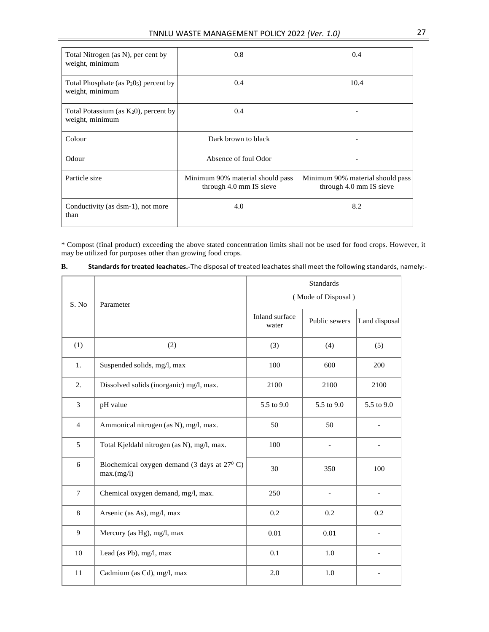| Total Nitrogen (as N), per cent by<br>weight, minimum                             | 0.8                                                         | 0.4                                                         |
|-----------------------------------------------------------------------------------|-------------------------------------------------------------|-------------------------------------------------------------|
| Total Phosphate (as P <sub>2</sub> O <sub>5</sub> ) percent by<br>weight, minimum | $0.4^{\circ}$                                               | 10.4                                                        |
| Total Potassium (as K <sub>2</sub> 0), percent by<br>weight, minimum              | 0.4                                                         |                                                             |
| Colour                                                                            | Dark brown to black                                         |                                                             |
| Odour                                                                             | Absence of foul Odor                                        |                                                             |
| Particle size                                                                     | Minimum 90% material should pass<br>through 4.0 mm IS sieve | Minimum 90% material should pass<br>through 4.0 mm IS sieve |
| Conductivity (as dsm-1), not more<br>than                                         | 4.0                                                         | 8.2                                                         |

\* Compost (final product) exceeding the above stated concentration limits shall not be used for food crops. However, it may be utilized for purposes other than growing food crops.

| В. | Standards for treated leachates.-The disposal of treated leachates shall meet the following standards, namely:- |  |
|----|-----------------------------------------------------------------------------------------------------------------|--|
|    |                                                                                                                 |  |

|                |                                                                    | <b>Standards</b>        |               |               |
|----------------|--------------------------------------------------------------------|-------------------------|---------------|---------------|
| S. No          | Parameter                                                          | (Mode of Disposal)      |               |               |
|                |                                                                    | Inland surface<br>water | Public sewers | Land disposal |
| (1)            | (2)                                                                | (3)                     | (4)           | (5)           |
| 1.             | Suspended solids, mg/l, max                                        | 100                     | 600           | 200           |
| 2.             | Dissolved solids (inorganic) mg/l, max.                            | 2100                    | 2100          | 2100          |
| $\overline{3}$ | pH value                                                           | 5.5 to 9.0              | 5.5 to 9.0    | 5.5 to 9.0    |
| $\overline{4}$ | Ammonical nitrogen (as N), mg/l, max.                              | 50                      | 50            |               |
| 5              | Total Kjeldahl nitrogen (as N), mg/l, max.                         | 100                     |               |               |
| 6              | Biochemical oxygen demand (3 days at $27^{\circ}$ C)<br>max.(mg/l) | 30                      | 350           | 100           |
| $\tau$         | Chemical oxygen demand, mg/l, max.                                 | 250                     |               |               |
| 8              | Arsenic (as As), mg/l, max                                         | 0.2                     | 0.2           | 0.2           |
| 9              | Mercury (as Hg), mg/l, max                                         | 0.01                    | 0.01          |               |
| 10             | Lead (as Pb), mg/l, max                                            | 0.1                     | 1.0           |               |
| 11             | Cadmium (as Cd), mg/l, max                                         | 2.0                     | 1.0           |               |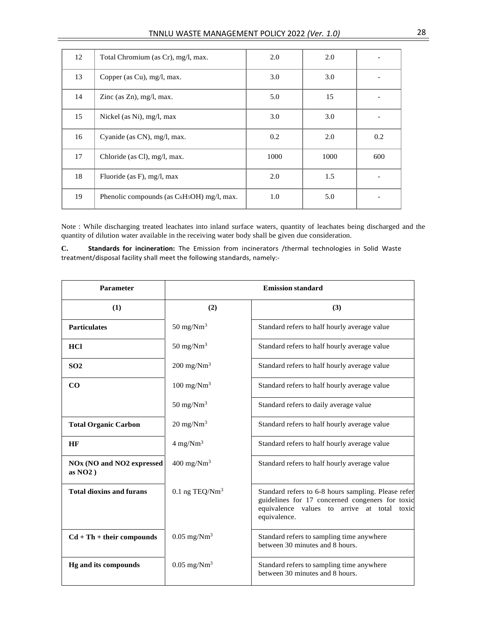| 12 | Total Chromium (as Cr), mg/l, max.             | 2.0  | 2.0  |     |
|----|------------------------------------------------|------|------|-----|
| 13 | Copper (as Cu), mg/l, max.                     | 3.0  | 3.0  |     |
| 14 | Zinc (as $Zn$ ), mg/l, max.                    | 5.0  | 15   |     |
| 15 | Nickel (as Ni), $mg/l$ , max                   | 3.0  | 3.0  |     |
| 16 | Cyanide (as CN), mg/l, max.                    | 0.2  | 2.0  | 0.2 |
| 17 | Chloride (as Cl), mg/l, max.                   | 1000 | 1000 | 600 |
| 18 | Fluoride (as F), $mg/l$ , max                  | 2.0  | 1.5  |     |
| 19 | Phenolic compounds (as $C_6H_5OH$ ) mg/l, max. | 1.0  | 5.0  |     |

Note : While discharging treated leachates into inland surface waters, quantity of leachates being discharged and the quantity of dilution water available in the receiving water body shall be given due consideration.

**C. Standards for incineration:** The Emission from incinerators /thermal technologies in Solid Waste treatment/disposal facility shall meet the following standards, namely:-

| Parameter                                                       | <b>Emission standard</b>                                                 |                                                                                                                                                                       |  |  |
|-----------------------------------------------------------------|--------------------------------------------------------------------------|-----------------------------------------------------------------------------------------------------------------------------------------------------------------------|--|--|
| (1)                                                             | (2)                                                                      | (3)                                                                                                                                                                   |  |  |
| <b>Particulates</b>                                             | $50 \text{ mg}/\text{Nm}^3$                                              | Standard refers to half hourly average value                                                                                                                          |  |  |
| <b>HCl</b>                                                      | $50 \text{ mg}/\text{Nm}^3$                                              | Standard refers to half hourly average value                                                                                                                          |  |  |
| SO <sub>2</sub>                                                 | $200 \text{ mg}/\text{Nm}^3$                                             | Standard refers to half hourly average value                                                                                                                          |  |  |
| CO                                                              | $100$ mg/Nm <sup>3</sup>                                                 | Standard refers to half hourly average value                                                                                                                          |  |  |
|                                                                 | 50 mg/ $Nm^3$                                                            | Standard refers to daily average value                                                                                                                                |  |  |
| <b>Total Organic Carbon</b>                                     | $20 \text{ mg}/\text{Nm}^3$                                              | Standard refers to half hourly average value                                                                                                                          |  |  |
| HF                                                              | $4 \text{ mg}/\text{Nm}^3$                                               | Standard refers to half hourly average value                                                                                                                          |  |  |
| NO <sub>x</sub> (NO and NO <sub>2</sub> expressed<br>as $NO2$ ) | $400$ mg/Nm <sup>3</sup><br>Standard refers to half hourly average value |                                                                                                                                                                       |  |  |
| <b>Total dioxins and furans</b>                                 | $0.1$ ng TEQ/Nm <sup>3</sup>                                             | Standard refers to 6-8 hours sampling. Please refer<br>guidelines for 17 concerned congeners for toxic<br>equivalence values to arrive at total toxic<br>equivalence. |  |  |
| $Cd + Th + their compounds$                                     | $0.05$ mg/Nm <sup>3</sup>                                                | Standard refers to sampling time anywhere<br>between 30 minutes and 8 hours.                                                                                          |  |  |
| <b>Hg and its compounds</b>                                     | $0.05$ mg/Nm <sup>3</sup>                                                | Standard refers to sampling time anywhere<br>between 30 minutes and 8 hours.                                                                                          |  |  |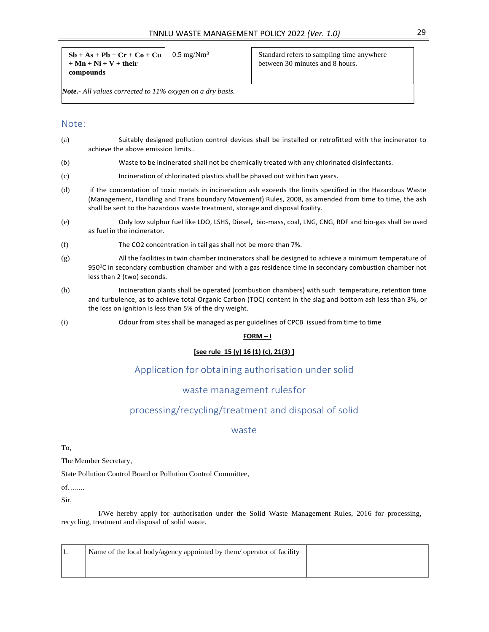| $Sb + As + Pb + Cr + Co + Cu$<br>$0.5 \text{ mg}/\text{Nm}^3$<br>$+ Mn + Ni + V + their$<br>compounds | Standard refers to sampling time anywhere<br>between 30 minutes and 8 hours. |
|-------------------------------------------------------------------------------------------------------|------------------------------------------------------------------------------|
|-------------------------------------------------------------------------------------------------------|------------------------------------------------------------------------------|

*Note.- All values corrected to 11% oxygen on a dry basis.*

#### Note:

- (a) Suitably designed pollution control devices shall be installed or retrofitted with the incinerator to achieve the above emission limits..
- (b) Waste to be incinerated shall not be chemically treated with any chlorinated disinfectants.
- (c) Incineration of chlorinated plastics shall be phased out within two years.
- (d) if the concentation of toxic metals in incineration ash exceeds the limits specified in the Hazardous Waste (Management, Handling and Trans boundary Movement) Rules, 2008, as amended from time to time, the ash shall be sent to the hazardous waste treatment, storage and disposal fcaility.
- (e) Only low sulphur fuel like LDO, LSHS, Diesel**,** bio-mass, coal, LNG, CNG, RDF and bio-gas shall be used as fuel in the incinerator.
- (f) The CO2 concentration in tail gas shall not be more than 7%.
- (g) All the facilities in twin chamber incinerators shall be designed to achieve a minimum temperature of 950<sup>0</sup>C in secondary combustion chamber and with a gas residence time in secondary combustion chamber not less than 2 (two) seconds.
- (h) Incineration plants shall be operated (combustion chambers) with such temperature, retention time and turbulence, as to achieve total Organic Carbon (TOC) content in the slag and bottom ash less than 3%, or the loss on ignition is less than 5% of the dry weight.
- (i) Odour from sites shall be managed as per guidelines of CPCB issued from time to time

#### **FORM – I**

#### **[see rule 15 (y) 16 (1) (c), 21(3) ]**

### Application for obtaining authorisation under solid

#### waste management rulesfor

## processing/recycling/treatment and disposal of solid

#### waste

To,

The Member Secretary,

State Pollution Control Board or Pollution Control Committee,

of….....

Sir,

I/We hereby apply for authorisation under the Solid Waste Management Rules, 2016 for processing, recycling, treatment and disposal of solid waste.

| Name of the local body/agency appointed by them/ operator of facility |  |
|-----------------------------------------------------------------------|--|
|                                                                       |  |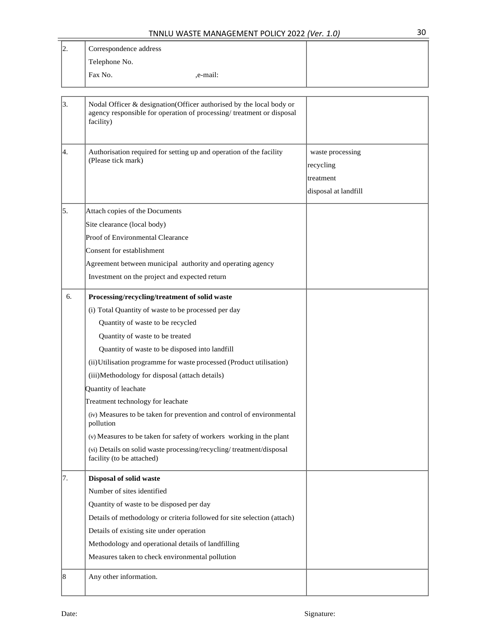| 2. | Correspondence address                   |                                                                                                                                             |                                                                    |
|----|------------------------------------------|---------------------------------------------------------------------------------------------------------------------------------------------|--------------------------------------------------------------------|
|    | Telephone No.                            |                                                                                                                                             |                                                                    |
|    | Fax No.                                  | ,e-mail:                                                                                                                                    |                                                                    |
|    |                                          |                                                                                                                                             |                                                                    |
| 3. | facility)                                | Nodal Officer & designation(Officer authorised by the local body or<br>agency responsible for operation of processing/treatment or disposal |                                                                    |
| 4. | (Please tick mark)                       | Authorisation required for setting up and operation of the facility                                                                         | waste processing<br>recycling<br>treatment<br>disposal at landfill |
| 5. | Attach copies of the Documents           |                                                                                                                                             |                                                                    |
|    | Site clearance (local body)              |                                                                                                                                             |                                                                    |
|    | Proof of Environmental Clearance         |                                                                                                                                             |                                                                    |
|    | Consent for establishment                |                                                                                                                                             |                                                                    |
|    |                                          | Agreement between municipal authority and operating agency                                                                                  |                                                                    |
|    |                                          | Investment on the project and expected return                                                                                               |                                                                    |
| 6. |                                          | Processing/recycling/treatment of solid waste                                                                                               |                                                                    |
|    |                                          | (i) Total Quantity of waste to be processed per day                                                                                         |                                                                    |
|    | Quantity of waste to be recycled         |                                                                                                                                             |                                                                    |
|    | Quantity of waste to be treated          |                                                                                                                                             |                                                                    |
|    |                                          | Quantity of waste to be disposed into landfill                                                                                              |                                                                    |
|    |                                          | (ii) Utilisation programme for waste processed (Product utilisation)                                                                        |                                                                    |
|    |                                          | (iii)Methodology for disposal (attach details)                                                                                              |                                                                    |
|    | Quantity of leachate                     |                                                                                                                                             |                                                                    |
|    | Treatment technology for leachate        |                                                                                                                                             |                                                                    |
|    | pollution                                | (iv) Measures to be taken for prevention and control of environmental                                                                       |                                                                    |
|    |                                          | (v) Measures to be taken for safety of workers working in the plant                                                                         |                                                                    |
|    | facility (to be attached)                | (vi) Details on solid waste processing/recycling/treatment/disposal                                                                         |                                                                    |
| 7. | Disposal of solid waste                  |                                                                                                                                             |                                                                    |
|    | Number of sites identified               |                                                                                                                                             |                                                                    |
|    | Quantity of waste to be disposed per day |                                                                                                                                             |                                                                    |
|    |                                          | Details of methodology or criteria followed for site selection (attach)                                                                     |                                                                    |
|    | Details of existing site under operation |                                                                                                                                             |                                                                    |
|    |                                          | Methodology and operational details of landfilling                                                                                          |                                                                    |
|    |                                          | Measures taken to check environmental pollution                                                                                             |                                                                    |
| 8  | Any other information.                   |                                                                                                                                             |                                                                    |
|    |                                          |                                                                                                                                             |                                                                    |

Τ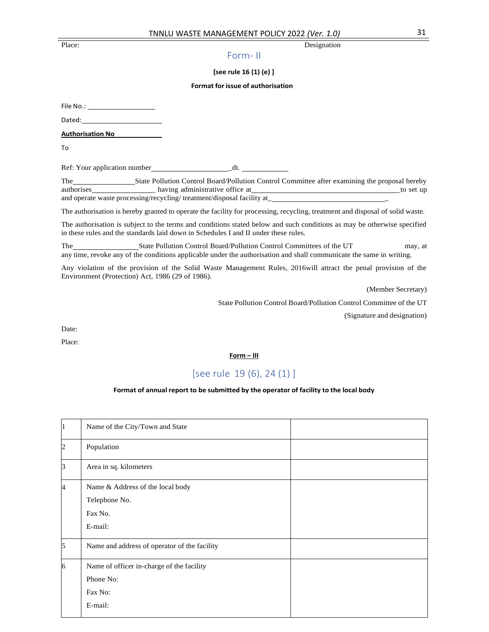#### Place: Designation

#### Form- II

#### **[see rule 16 (1) (e) ]**

#### **Format for issue of authorisation**

File No.: \_

Dated:

**Authorisation No**

To

Ref: Your application number \_dt.

The State Pollution Control Board/Pollution Control Committee after examining the proposal hereby authorises having administrative office at the set up to set up to set up to set up to set up to set up to set up to set up to set up to set up to set up to set up to set up to set up to set up to set up to set up to set u and operate waste processing/recycling/ treatment/disposal facility at

The authorisation is hereby granted to operate the facility for processing, recycling, treatment and disposal of solid waste.

The authorisation is subject to the terms and conditions stated below and such conditions as may be otherwise specified in these rules and the standards laid down in Schedules I and II under these rules.

The State Pollution Control Board/Pollution Control Committees of the UT may, at any time, revoke any of the conditions applicable under the authorisation and shall communicate the same in writing.

Any violation of the provision of the Solid Waste Management Rules, 2016will attract the penal provision of the Environment (Protection) Act, 1986 (29 of 1986).

(Member Secretary)

State Pollution Control Board/Pollution Control Committee of the UT

(Signature and designation)

Date:

Place:

**Form – III**

## [see rule 19 (6), 24 (1) ]

#### **Format of annual report to be submitted by the operator of facility to the local body**

| 1               | Name of the City/Town and State                                              |  |
|-----------------|------------------------------------------------------------------------------|--|
| $\overline{2}$  | Population                                                                   |  |
| $\vert 3 \vert$ | Area in sq. kilometers                                                       |  |
| 4               | Name & Address of the local body<br>Telephone No.<br>Fax No.<br>E-mail:      |  |
| 5               | Name and address of operator of the facility                                 |  |
| 16              | Name of officer in-charge of the facility<br>Phone No:<br>Fax No:<br>E-mail: |  |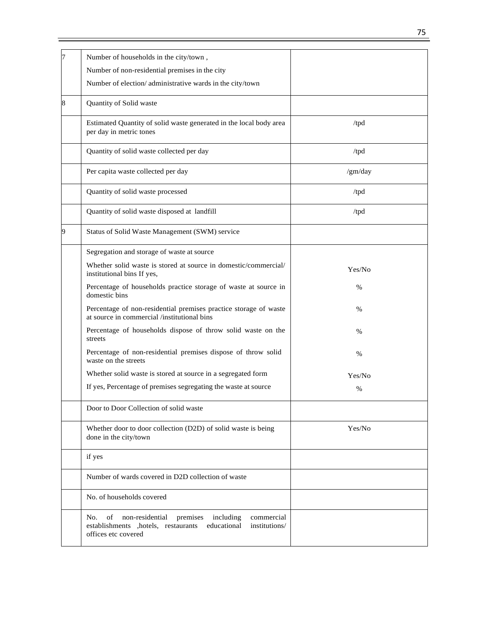| 7 | Number of households in the city/town,                                                                                                                             |         |
|---|--------------------------------------------------------------------------------------------------------------------------------------------------------------------|---------|
|   | Number of non-residential premises in the city                                                                                                                     |         |
|   | Number of election/administrative wards in the city/town                                                                                                           |         |
| 8 | Quantity of Solid waste                                                                                                                                            |         |
|   | Estimated Quantity of solid waste generated in the local body area<br>per day in metric tones                                                                      | /tpd    |
|   | Quantity of solid waste collected per day                                                                                                                          | /tpd    |
|   | Per capita waste collected per day                                                                                                                                 | /gm/day |
|   | Quantity of solid waste processed                                                                                                                                  | /tpd    |
|   | Quantity of solid waste disposed at landfill                                                                                                                       | /tpd    |
| 9 | Status of Solid Waste Management (SWM) service                                                                                                                     |         |
|   | Segregation and storage of waste at source                                                                                                                         |         |
|   | Whether solid waste is stored at source in domestic/commercial/<br>institutional bins If yes,                                                                      | Yes/No  |
|   | Percentage of households practice storage of waste at source in<br>domestic bins                                                                                   | %       |
|   | Percentage of non-residential premises practice storage of waste<br>at source in commercial /institutional bins                                                    | %       |
|   | Percentage of households dispose of throw solid waste on the<br>streets                                                                                            | $\%$    |
|   | Percentage of non-residential premises dispose of throw solid<br>waste on the streets                                                                              | $\%$    |
|   | Whether solid waste is stored at source in a segregated form                                                                                                       | Yes/No  |
|   | If yes, Percentage of premises segregating the waste at source                                                                                                     | %       |
|   | Door to Door Collection of solid waste                                                                                                                             |         |
|   | Whether door to door collection (D2D) of solid waste is being<br>done in the city/town                                                                             | Yes/No  |
|   | if yes                                                                                                                                                             |         |
|   | Number of wards covered in D2D collection of waste                                                                                                                 |         |
|   | No. of households covered                                                                                                                                          |         |
|   | No.<br>non-residential<br>including<br>commercial<br>of<br>premises<br>institutions/<br>establishments , hotels, restaurants<br>educational<br>offices etc covered |         |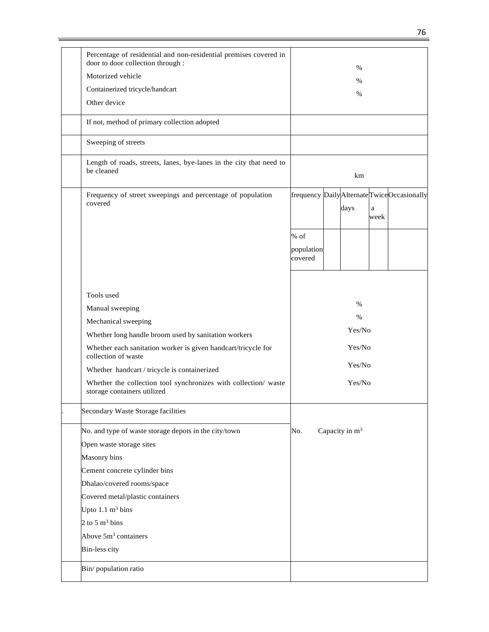| Percentage of residential and non-residential premises covered in<br>door to door collection through : |            |                            |              |                                              |
|--------------------------------------------------------------------------------------------------------|------------|----------------------------|--------------|----------------------------------------------|
| Motorized vehicle                                                                                      |            | $\%$                       |              |                                              |
| Containerized tricycle/handcart                                                                        |            | $\%$                       |              |                                              |
| Other device                                                                                           |            | %                          |              |                                              |
|                                                                                                        |            |                            |              |                                              |
| If not, method of primary collection adopted                                                           |            |                            |              |                                              |
| Sweeping of streets                                                                                    |            |                            |              |                                              |
| Length of roads, streets, lanes, bye-lanes in the city that need to<br>be cleaned                      |            | km                         |              |                                              |
| Frequency of street sweepings and percentage of population                                             |            |                            |              | frequency Daily Alternate Twice Occasionally |
| covered                                                                                                |            | days                       | $\mathbf{a}$ |                                              |
|                                                                                                        |            |                            | week         |                                              |
|                                                                                                        | $%$ of     |                            |              |                                              |
|                                                                                                        | population |                            |              |                                              |
|                                                                                                        | covered    |                            |              |                                              |
|                                                                                                        |            |                            |              |                                              |
|                                                                                                        |            |                            |              |                                              |
| Tools used                                                                                             |            | $\%$                       |              |                                              |
| Manual sweeping                                                                                        |            | $\%$                       |              |                                              |
| Mechanical sweeping                                                                                    |            | Yes/No                     |              |                                              |
| Whether long handle broom used by sanitation workers                                                   |            |                            |              |                                              |
| Whether each sanitation worker is given handcart/tricycle for<br>collection of waste                   |            | Yes/No                     |              |                                              |
| Whether handcart / tricycle is containerized                                                           |            | Yes/No                     |              |                                              |
| Whether the collection tool synchronizes with collection/ waste<br>storage containers utilized         |            | Yes/No                     |              |                                              |
| Secondary Waste Storage facilities                                                                     |            |                            |              |                                              |
| No. and type of waste storage depots in the city/town                                                  | No.        | Capacity in m <sup>3</sup> |              |                                              |
| Open waste storage sites                                                                               |            |                            |              |                                              |
| Masonry bins                                                                                           |            |                            |              |                                              |
| Cement concrete cylinder bins                                                                          |            |                            |              |                                              |
| Dhalao/covered rooms/space                                                                             |            |                            |              |                                              |
| Covered metal/plastic containers                                                                       |            |                            |              |                                              |
| Upto $1.1 \text{ m}^3$ bins                                                                            |            |                            |              |                                              |
| 2 to 5 $m3$ bins                                                                                       |            |                            |              |                                              |
| Above 5m <sup>3</sup> containers                                                                       |            |                            |              |                                              |
| <b>Bin-less city</b>                                                                                   |            |                            |              |                                              |
| Bin/population ratio                                                                                   |            |                            |              |                                              |
|                                                                                                        |            |                            |              |                                              |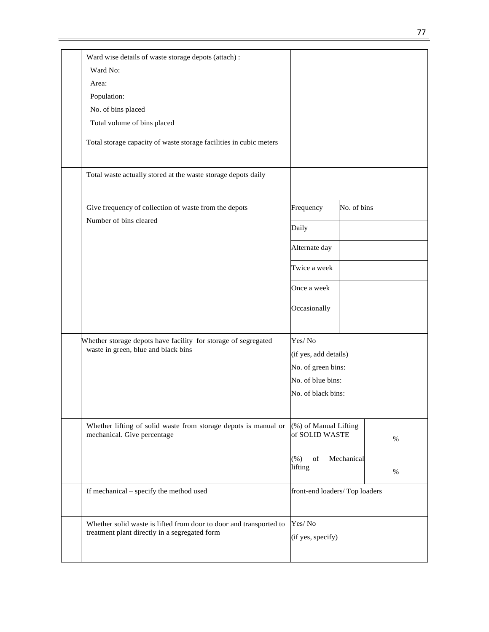| Ward wise details of waste storage depots (attach) :<br>Ward No:                                                    |                                         |             |      |
|---------------------------------------------------------------------------------------------------------------------|-----------------------------------------|-------------|------|
| Area:                                                                                                               |                                         |             |      |
| Population:                                                                                                         |                                         |             |      |
| No. of bins placed                                                                                                  |                                         |             |      |
| Total volume of bins placed                                                                                         |                                         |             |      |
|                                                                                                                     |                                         |             |      |
| Total storage capacity of waste storage facilities in cubic meters                                                  |                                         |             |      |
| Total waste actually stored at the waste storage depots daily                                                       |                                         |             |      |
| Give frequency of collection of waste from the depots                                                               | Frequency                               | No. of bins |      |
| Number of bins cleared                                                                                              | Daily                                   |             |      |
|                                                                                                                     | Alternate day                           |             |      |
|                                                                                                                     | Twice a week                            |             |      |
|                                                                                                                     | Once a week                             |             |      |
|                                                                                                                     | Occasionally                            |             |      |
| Whether storage depots have facility for storage of segregated                                                      | Yes/No                                  |             |      |
| waste in green, blue and black bins                                                                                 | (if yes, add details)                   |             |      |
|                                                                                                                     | No. of green bins:                      |             |      |
|                                                                                                                     | No. of blue bins:                       |             |      |
|                                                                                                                     | No. of black bins:                      |             |      |
| Whether lifting of solid waste from storage depots is manual or<br>mechanical. Give percentage                      | (%) of Manual Lifting<br>of SOLID WASTE |             | $\%$ |
|                                                                                                                     | $_{\mathrm{of}}$<br>$(\% )$<br>lifting  | Mechanical  | $\%$ |
| If mechanical – specify the method used                                                                             | front-end loaders/Top loaders           |             |      |
| Whether solid waste is lifted from door to door and transported to<br>treatment plant directly in a segregated form | Yes/No<br>(if yes, specify)             |             |      |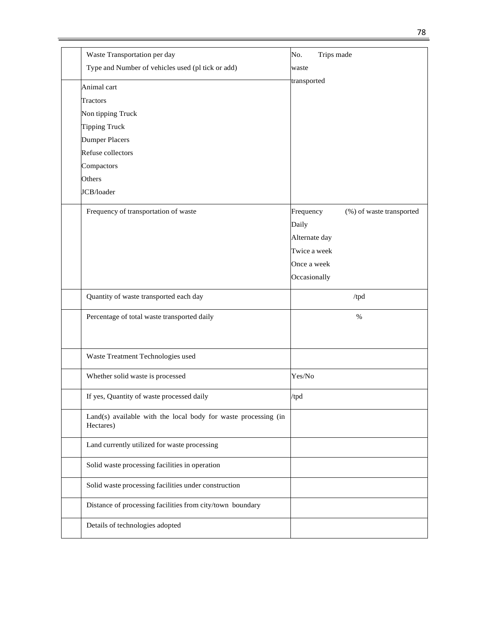| Waste Transportation per day                                                | Trips made<br>No.                     |
|-----------------------------------------------------------------------------|---------------------------------------|
| Type and Number of vehicles used (pl tick or add)                           |                                       |
|                                                                             | waste                                 |
| Animal cart                                                                 | transported                           |
| Tractors                                                                    |                                       |
| Non tipping Truck                                                           |                                       |
| Tipping Truck                                                               |                                       |
| <b>Dumper Placers</b>                                                       |                                       |
| Refuse collectors                                                           |                                       |
| Compactors                                                                  |                                       |
| Others                                                                      |                                       |
| JCB/loader                                                                  |                                       |
| Frequency of transportation of waste                                        | Frequency<br>(%) of waste transported |
|                                                                             | Daily                                 |
|                                                                             | Alternate day                         |
|                                                                             | Twice a week                          |
|                                                                             | Once a week                           |
|                                                                             | Occasionally                          |
| Quantity of waste transported each day                                      | /tpd                                  |
| Percentage of total waste transported daily                                 | $\%$                                  |
|                                                                             |                                       |
| Waste Treatment Technologies used                                           |                                       |
|                                                                             |                                       |
| Whether solid waste is processed                                            | Yes/No                                |
| If yes, Quantity of waste processed daily                                   | /tpd                                  |
| Land(s) available with the local body for waste processing (in<br>Hectares) |                                       |
| Land currently utilized for waste processing                                |                                       |
| Solid waste processing facilities in operation                              |                                       |
| Solid waste processing facilities under construction                        |                                       |
| Distance of processing facilities from city/town boundary                   |                                       |
| Details of technologies adopted                                             |                                       |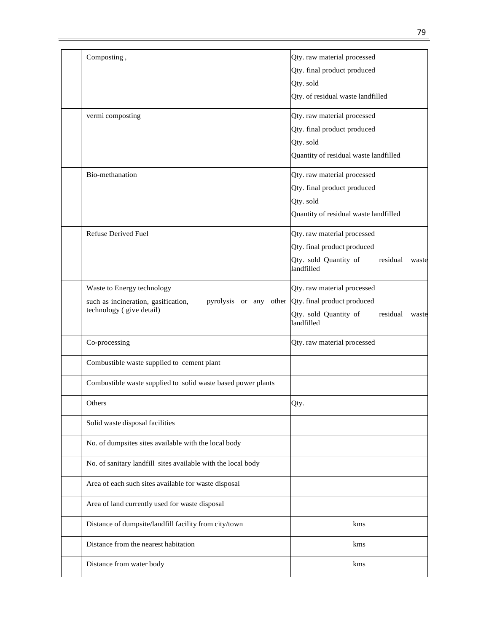| Composting,                                                   | Qty. raw material processed                |
|---------------------------------------------------------------|--------------------------------------------|
|                                                               | Qty. final product produced                |
|                                                               | Qty. sold                                  |
|                                                               |                                            |
|                                                               | Qty. of residual waste landfilled          |
| vermi composting                                              | Qty. raw material processed                |
|                                                               | Qty. final product produced                |
|                                                               | Qty. sold                                  |
|                                                               | Quantity of residual waste landfilled      |
| Bio-methanation                                               | Qty. raw material processed                |
|                                                               | Qty. final product produced                |
|                                                               | Qty. sold                                  |
|                                                               | Quantity of residual waste landfilled      |
|                                                               |                                            |
| Refuse Derived Fuel                                           | Qty. raw material processed                |
|                                                               | Qty. final product produced                |
|                                                               | Qty. sold Quantity of<br>residual<br>waste |
|                                                               | landfilled                                 |
| Waste to Energy technology                                    | Qty. raw material processed                |
| such as incineration, gasification,<br>pyrolysis or any other | Qty. final product produced                |
| technology (give detail)                                      | Qty. sold Quantity of<br>residual<br>waste |
|                                                               | landfilled                                 |
| Co-processing                                                 | Qty. raw material processed                |
| Combustible waste supplied to cement plant                    |                                            |
| Combustible waste supplied to solid waste based power plants  |                                            |
| Others                                                        | Qty.                                       |
| Solid waste disposal facilities                               |                                            |
| No. of dumpsites sites available with the local body          |                                            |
| No. of sanitary landfill sites available with the local body  |                                            |
| Area of each such sites available for waste disposal          |                                            |
| Area of land currently used for waste disposal                |                                            |
| Distance of dumpsite/landfill facility from city/town         | kms                                        |
| Distance from the nearest habitation                          | kms                                        |
| Distance from water body                                      | kms                                        |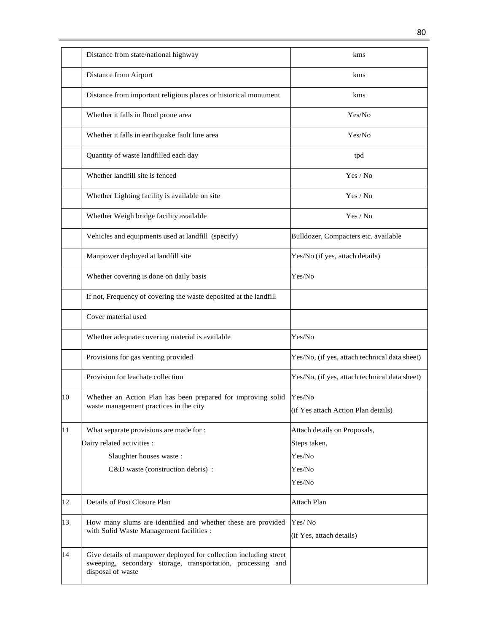|    | Distance from state/national highway                                                                                                                  | kms                                           |
|----|-------------------------------------------------------------------------------------------------------------------------------------------------------|-----------------------------------------------|
|    | Distance from Airport                                                                                                                                 | kms                                           |
|    | Distance from important religious places or historical monument                                                                                       | kms                                           |
|    | Whether it falls in flood prone area                                                                                                                  | Yes/No                                        |
|    | Whether it falls in earthquake fault line area                                                                                                        | Yes/No                                        |
|    | Quantity of waste landfilled each day                                                                                                                 | tpd                                           |
|    | Whether landfill site is fenced                                                                                                                       | Yes / No                                      |
|    | Whether Lighting facility is available on site                                                                                                        | Yes / No                                      |
|    | Whether Weigh bridge facility available                                                                                                               | Yes / No                                      |
|    | Vehicles and equipments used at landfill (specify)                                                                                                    | Bulldozer, Compacters etc. available          |
|    | Manpower deployed at landfill site                                                                                                                    | Yes/No (if yes, attach details)               |
|    | Whether covering is done on daily basis                                                                                                               | Yes/No                                        |
|    | If not, Frequency of covering the waste deposited at the landfill                                                                                     |                                               |
|    | Cover material used                                                                                                                                   |                                               |
|    | Whether adequate covering material is available                                                                                                       | Yes/No                                        |
|    | Provisions for gas venting provided                                                                                                                   | Yes/No, (if yes, attach technical data sheet) |
|    | Provision for leachate collection                                                                                                                     | Yes/No, (if yes, attach technical data sheet) |
| 10 | Whether an Action Plan has been prepared for improving solid                                                                                          | Yes/No                                        |
|    | waste management practices in the city                                                                                                                |                                               |
|    |                                                                                                                                                       | (if Yes attach Action Plan details)           |
| 11 | What separate provisions are made for :                                                                                                               | Attach details on Proposals,                  |
|    | Dairy related activities :                                                                                                                            | Steps taken,                                  |
|    | Slaughter houses waste:                                                                                                                               | Yes/No                                        |
|    | C&D waste (construction debris) :                                                                                                                     | Yes/No                                        |
|    |                                                                                                                                                       | Yes/No                                        |
|    |                                                                                                                                                       |                                               |
| 12 | Details of Post Closure Plan                                                                                                                          | Attach Plan                                   |
| 13 | How many slums are identified and whether these are provided                                                                                          | Yes/No                                        |
|    | with Solid Waste Management facilities :                                                                                                              | (if Yes, attach details)                      |
| 14 | Give details of manpower deployed for collection including street<br>sweeping, secondary storage, transportation, processing and<br>disposal of waste |                                               |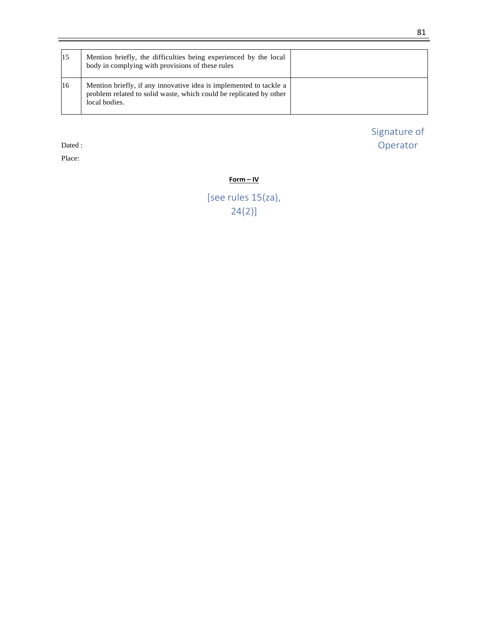| 15            | Mention briefly, the difficulties being experienced by the local<br>body in complying with provisions of these rules                                      |  |
|---------------|-----------------------------------------------------------------------------------------------------------------------------------------------------------|--|
| <sup>16</sup> | Mention briefly, if any innovative idea is implemented to tackle a<br>problem related to solid waste, which could be replicated by other<br>local bodies. |  |

Dated :

Place:

Signature of Operator

### **Form – IV**

[see rules 15(za), 24(2)]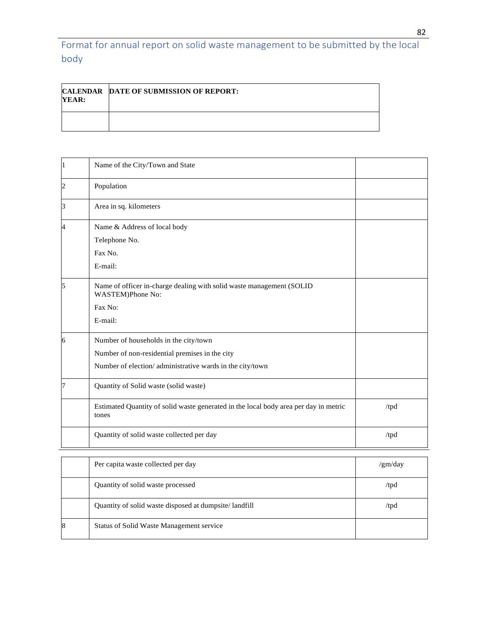Format for annual report on solid waste management to be submitted by the local body

| YEAR: | <b>CALENDAR DATE OF SUBMISSION OF REPORT:</b> |
|-------|-----------------------------------------------|
|       |                                               |

|   | Name of the City/Town and State                                                                                                                     |                 |
|---|-----------------------------------------------------------------------------------------------------------------------------------------------------|-----------------|
|   | Population                                                                                                                                          |                 |
|   | Area in sq. kilometers                                                                                                                              |                 |
|   | Name & Address of local body<br>Telephone No.<br>Fax No.<br>E-mail:                                                                                 |                 |
|   | Name of officer in-charge dealing with solid waste management (SOLID<br>WASTEM)Phone No:<br>Fax No:<br>E-mail:                                      |                 |
| h | Number of households in the city/town<br>Number of non-residential premises in the city<br>Number of election/administrative wards in the city/town |                 |
|   | Quantity of Solid waste (solid waste)                                                                                                               |                 |
|   | Estimated Quantity of solid waste generated in the local body area per day in metric<br>tones                                                       | /tpd            |
|   | Quantity of solid waste collected per day                                                                                                           | /tpd            |
|   | Per capita waste collected per day                                                                                                                  | $\gamma$ gm/day |

|   | Per capita waste collected per day                    | /gm/day |
|---|-------------------------------------------------------|---------|
|   | Quantity of solid waste processed                     | /tpd    |
|   | Quantity of solid waste disposed at dumpsite/landfill | /tpd    |
| 8 | <b>Status of Solid Waste Management service</b>       |         |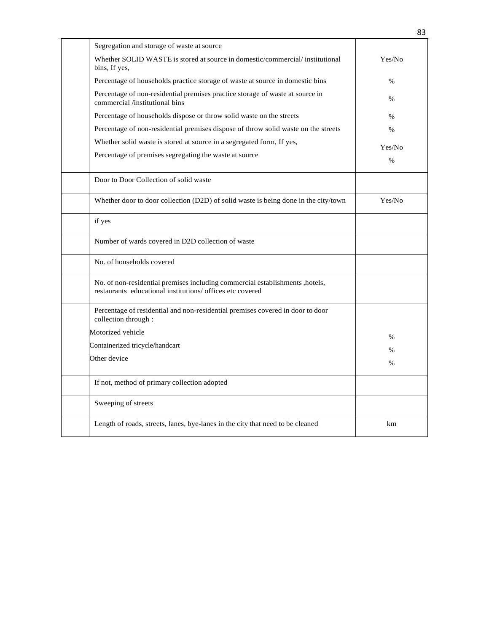| Segregation and storage of waste at source                                                                                                 |               |
|--------------------------------------------------------------------------------------------------------------------------------------------|---------------|
| Whether SOLID WASTE is stored at source in domestic/commercial/ institutional<br>bins, If yes,                                             | Yes/No        |
| Percentage of households practice storage of waste at source in domestic bins                                                              | $\%$          |
| Percentage of non-residential premises practice storage of waste at source in<br>commercial /institutional bins                            | $\%$          |
| Percentage of households dispose or throw solid waste on the streets                                                                       | $\frac{0}{0}$ |
| Percentage of non-residential premises dispose of throw solid waste on the streets                                                         | $\%$          |
| Whether solid waste is stored at source in a segregated form, If yes,                                                                      | Yes/No        |
| Percentage of premises segregating the waste at source                                                                                     | $\%$          |
|                                                                                                                                            |               |
| Door to Door Collection of solid waste                                                                                                     |               |
| Whether door to door collection (D2D) of solid waste is being done in the city/town                                                        | Yes/No        |
| if yes                                                                                                                                     |               |
| Number of wards covered in D2D collection of waste                                                                                         |               |
| No. of households covered                                                                                                                  |               |
| No. of non-residential premises including commercial establishments , hotels,<br>restaurants educational institutions/ offices etc covered |               |
| Percentage of residential and non-residential premises covered in door to door<br>collection through :                                     |               |
| Motorized vehicle                                                                                                                          | $\%$          |
| Containerized tricycle/handcart                                                                                                            | $\frac{0}{0}$ |
| Other device                                                                                                                               | $\%$          |
|                                                                                                                                            |               |
| If not, method of primary collection adopted                                                                                               |               |
| Sweeping of streets                                                                                                                        |               |
| Length of roads, streets, lanes, bye-lanes in the city that need to be cleaned                                                             | km            |

 $\overline{a}$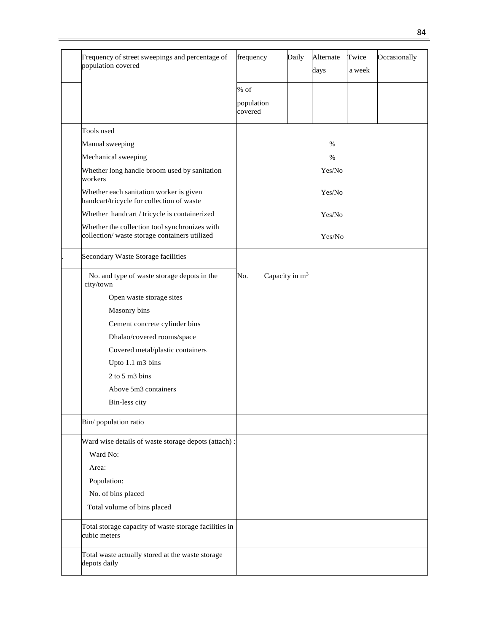| Frequency of street sweepings and percentage of<br>population covered                         | frequency             | Daily                      | Alternate<br>days | Twice<br>a week | Occasionally |
|-----------------------------------------------------------------------------------------------|-----------------------|----------------------------|-------------------|-----------------|--------------|
|                                                                                               | % of                  |                            |                   |                 |              |
|                                                                                               | population<br>covered |                            |                   |                 |              |
| Tools used                                                                                    |                       |                            |                   |                 |              |
| Manual sweeping                                                                               |                       |                            | %                 |                 |              |
| Mechanical sweeping                                                                           |                       |                            | $\%$              |                 |              |
| Whether long handle broom used by sanitation<br>workers                                       |                       |                            | Yes/No            |                 |              |
| Whether each sanitation worker is given<br>handcart/tricycle for collection of waste          |                       |                            | Yes/No            |                 |              |
| Whether handcart / tricycle is containerized                                                  |                       |                            | Yes/No            |                 |              |
| Whether the collection tool synchronizes with<br>collection/waste storage containers utilized |                       |                            | Yes/No            |                 |              |
| Secondary Waste Storage facilities                                                            |                       |                            |                   |                 |              |
| No. and type of waste storage depots in the<br>city/town                                      | No.                   | Capacity in m <sup>3</sup> |                   |                 |              |
| Open waste storage sites                                                                      |                       |                            |                   |                 |              |
| Masonry bins                                                                                  |                       |                            |                   |                 |              |
| Cement concrete cylinder bins                                                                 |                       |                            |                   |                 |              |
| Dhalao/covered rooms/space                                                                    |                       |                            |                   |                 |              |
| Covered metal/plastic containers                                                              |                       |                            |                   |                 |              |
| Upto 1.1 m3 bins                                                                              |                       |                            |                   |                 |              |
| 2 to 5 m3 bins                                                                                |                       |                            |                   |                 |              |
| Above 5m3 containers                                                                          |                       |                            |                   |                 |              |
| Bin-less city                                                                                 |                       |                            |                   |                 |              |
| Bin/population ratio                                                                          |                       |                            |                   |                 |              |
| Ward wise details of waste storage depots (attach):                                           |                       |                            |                   |                 |              |
| Ward No:                                                                                      |                       |                            |                   |                 |              |
| Area:                                                                                         |                       |                            |                   |                 |              |
| Population:                                                                                   |                       |                            |                   |                 |              |
| No. of bins placed                                                                            |                       |                            |                   |                 |              |
| Total volume of bins placed                                                                   |                       |                            |                   |                 |              |
| Total storage capacity of waste storage facilities in<br>cubic meters                         |                       |                            |                   |                 |              |
| Total waste actually stored at the waste storage<br>depots daily                              |                       |                            |                   |                 |              |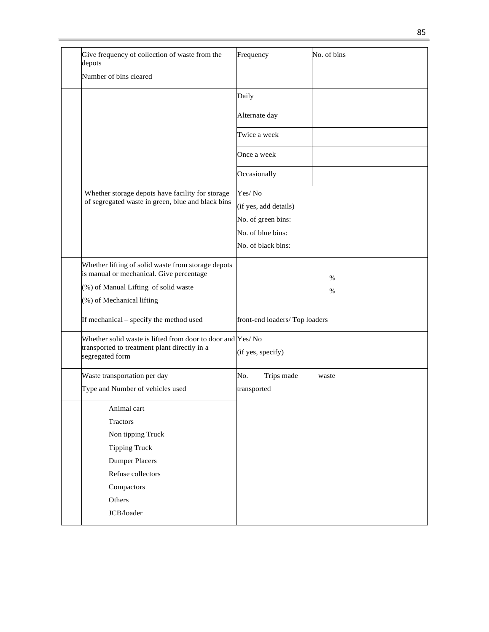| Give frequency of collection of waste from the<br>depots                                                                                                            | Frequency                                                                                        | No. of bins  |
|---------------------------------------------------------------------------------------------------------------------------------------------------------------------|--------------------------------------------------------------------------------------------------|--------------|
| Number of bins cleared                                                                                                                                              |                                                                                                  |              |
|                                                                                                                                                                     | Daily                                                                                            |              |
|                                                                                                                                                                     | Alternate day                                                                                    |              |
|                                                                                                                                                                     | Twice a week                                                                                     |              |
|                                                                                                                                                                     | Once a week                                                                                      |              |
|                                                                                                                                                                     | Occasionally                                                                                     |              |
| Whether storage depots have facility for storage<br>of segregated waste in green, blue and black bins                                                               | Yes/No<br>(if yes, add details)<br>No. of green bins:<br>No. of blue bins:<br>No. of black bins: |              |
| Whether lifting of solid waste from storage depots<br>is manual or mechanical. Give percentage<br>(%) of Manual Lifting of solid waste<br>(%) of Mechanical lifting |                                                                                                  | $\%$<br>$\%$ |
| If mechanical – specify the method used                                                                                                                             | front-end loaders/Top loaders                                                                    |              |
| Whether solid waste is lifted from door to door and Yes/No<br>transported to treatment plant directly in a<br>segregated form                                       | (if yes, specify)                                                                                |              |
| Waste transportation per day                                                                                                                                        | No.<br>Trips made                                                                                | waste        |
| Type and Number of vehicles used                                                                                                                                    | transported                                                                                      |              |
| Animal cart                                                                                                                                                         |                                                                                                  |              |
| Tractors                                                                                                                                                            |                                                                                                  |              |
| Non tipping Truck                                                                                                                                                   |                                                                                                  |              |
| <b>Tipping Truck</b>                                                                                                                                                |                                                                                                  |              |
| <b>Dumper Placers</b>                                                                                                                                               |                                                                                                  |              |
| Refuse collectors                                                                                                                                                   |                                                                                                  |              |
| Compactors                                                                                                                                                          |                                                                                                  |              |
|                                                                                                                                                                     |                                                                                                  |              |
| Others                                                                                                                                                              |                                                                                                  |              |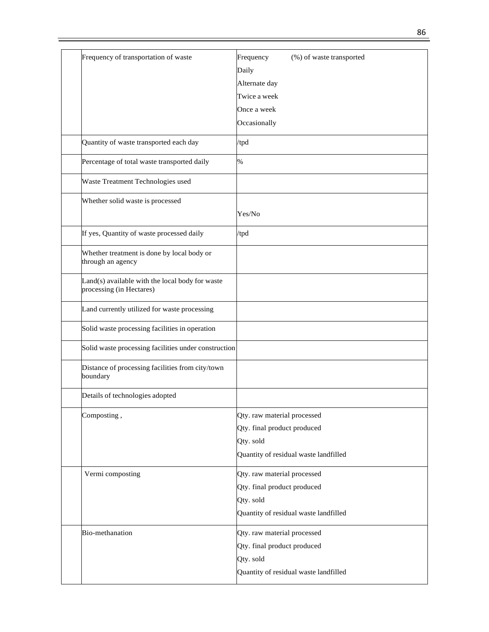| Frequency of transportation of waste                                        | (%) of waste transported<br>Frequency |
|-----------------------------------------------------------------------------|---------------------------------------|
|                                                                             | Daily                                 |
|                                                                             | Alternate day                         |
|                                                                             | Twice a week                          |
|                                                                             | Once a week                           |
|                                                                             | Occasionally                          |
| Quantity of waste transported each day                                      | /tpd                                  |
| Percentage of total waste transported daily                                 | %                                     |
| Waste Treatment Technologies used                                           |                                       |
| Whether solid waste is processed                                            |                                       |
|                                                                             | Yes/No                                |
| If yes, Quantity of waste processed daily                                   | /tpd                                  |
| Whether treatment is done by local body or<br>through an agency             |                                       |
| Land(s) available with the local body for waste<br>processing (in Hectares) |                                       |
| Land currently utilized for waste processing                                |                                       |
| Solid waste processing facilities in operation                              |                                       |
| Solid waste processing facilities under construction                        |                                       |
| Distance of processing facilities from city/town<br>boundary                |                                       |
| Details of technologies adopted                                             |                                       |
| Composting,                                                                 | Qty. raw material processed           |
|                                                                             | Qty. final product produced           |
|                                                                             | Qty. sold                             |
|                                                                             | Quantity of residual waste landfilled |
| Vermi composting                                                            | Qty. raw material processed           |
|                                                                             | Qty. final product produced           |
|                                                                             | Qty. sold                             |
|                                                                             | Quantity of residual waste landfilled |
| Bio-methanation                                                             | Qty. raw material processed           |
|                                                                             | Qty. final product produced           |
|                                                                             | Qty. sold                             |
|                                                                             | Quantity of residual waste landfilled |
|                                                                             |                                       |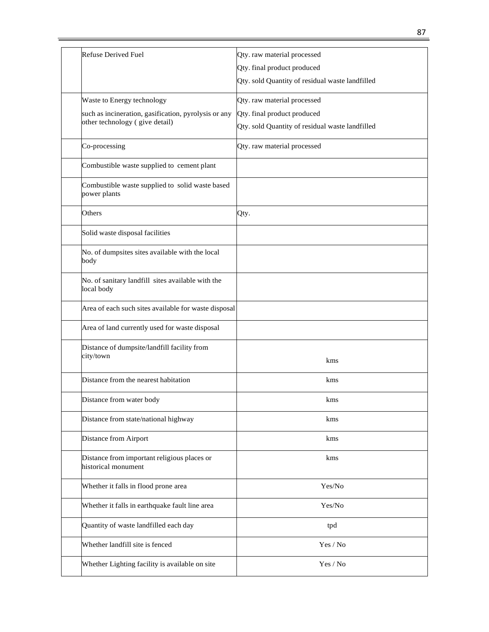| <b>Refuse Derived Fuel</b>                                         | Qty. raw material processed                     |
|--------------------------------------------------------------------|-------------------------------------------------|
|                                                                    | Qty. final product produced                     |
|                                                                    | Qty. sold Quantity of residual waste landfilled |
| Waste to Energy technology                                         | Qty. raw material processed                     |
| such as incineration, gasification, pyrolysis or any               | Qty. final product produced                     |
| other technology (give detail)                                     | Qty. sold Quantity of residual waste landfilled |
| Co-processing                                                      | Qty. raw material processed                     |
| Combustible waste supplied to cement plant                         |                                                 |
| Combustible waste supplied to solid waste based<br>power plants    |                                                 |
| Others                                                             | Qty.                                            |
| Solid waste disposal facilities                                    |                                                 |
| No. of dumpsites sites available with the local<br>body            |                                                 |
| No. of sanitary landfill sites available with the<br>local body    |                                                 |
| Area of each such sites available for waste disposal               |                                                 |
| Area of land currently used for waste disposal                     |                                                 |
| Distance of dumpsite/landfill facility from                        |                                                 |
| city/town                                                          | kms                                             |
| Distance from the nearest habitation                               | kms                                             |
| Distance from water body                                           | kms                                             |
| Distance from state/national highway                               | kms                                             |
| Distance from Airport                                              | kms                                             |
| Distance from important religious places or<br>historical monument | kms                                             |
| Whether it falls in flood prone area                               | Yes/No                                          |
| Whether it falls in earthquake fault line area                     | Yes/No                                          |
| Quantity of waste landfilled each day                              | tpd                                             |
| Whether landfill site is fenced                                    | Yes / No                                        |
| Whether Lighting facility is available on site                     | Yes / No                                        |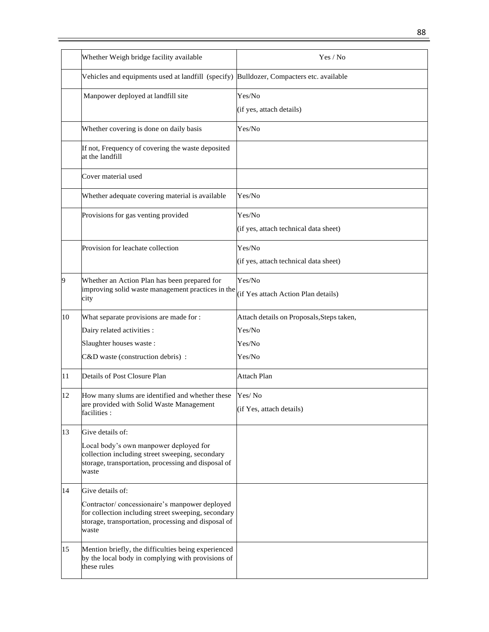|    | Whether Weigh bridge facility available                                                                                                                              | Yes / No                                      |
|----|----------------------------------------------------------------------------------------------------------------------------------------------------------------------|-----------------------------------------------|
|    | Vehicles and equipments used at landfill (specify) Bulldozer, Compacters etc. available                                                                              |                                               |
|    | Manpower deployed at landfill site                                                                                                                                   | Yes/No                                        |
|    |                                                                                                                                                                      | (if yes, attach details)                      |
|    | Whether covering is done on daily basis                                                                                                                              | Yes/No                                        |
|    | If not, Frequency of covering the waste deposited<br>at the landfill                                                                                                 |                                               |
|    | Cover material used                                                                                                                                                  |                                               |
|    | Whether adequate covering material is available                                                                                                                      | Yes/No                                        |
|    | Provisions for gas venting provided                                                                                                                                  | Yes/No                                        |
|    |                                                                                                                                                                      | (if yes, attach technical data sheet)         |
|    | Provision for leachate collection                                                                                                                                    | Yes/No                                        |
|    |                                                                                                                                                                      | (if yes, attach technical data sheet)         |
| 9  | Whether an Action Plan has been prepared for<br>improving solid waste management practices in the<br>city                                                            | Yes/No<br>(if Yes attach Action Plan details) |
| 10 | What separate provisions are made for :                                                                                                                              | Attach details on Proposals, Steps taken,     |
|    | Dairy related activities :                                                                                                                                           | Yes/No                                        |
|    | Slaughter houses waste:                                                                                                                                              | Yes/No                                        |
|    | C&D waste (construction debris) :                                                                                                                                    | Yes/No                                        |
| 11 | Details of Post Closure Plan                                                                                                                                         | <b>Attach Plan</b>                            |
| 12 | How many slums are identified and whether these                                                                                                                      | Yes/No                                        |
|    | are provided with Solid Waste Management<br>facilities :                                                                                                             | (if Yes, attach details)                      |
| 13 | Give details of:                                                                                                                                                     |                                               |
|    | Local body's own manpower deployed for<br>collection including street sweeping, secondary<br>storage, transportation, processing and disposal of<br>waste            |                                               |
| 14 | Give details of:                                                                                                                                                     |                                               |
|    | Contractor/concessionaire's manpower deployed<br>for collection including street sweeping, secondary<br>storage, transportation, processing and disposal of<br>waste |                                               |
| 15 | Mention briefly, the difficulties being experienced<br>by the local body in complying with provisions of<br>these rules                                              |                                               |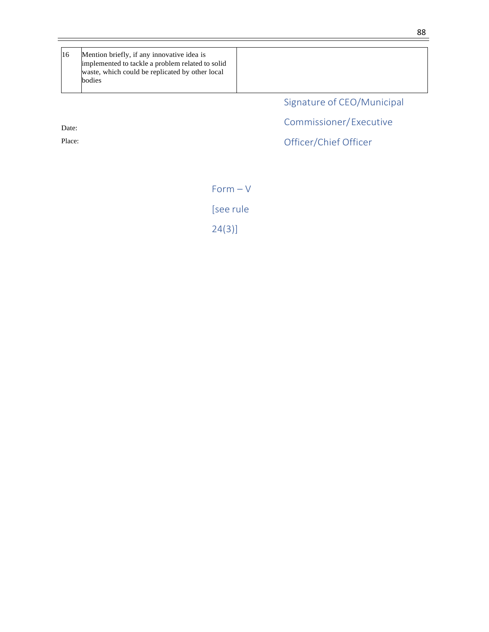16 Mention briefly, if any innovative idea is implemented to tackle a problem related to solid waste, which could be replicated by other local bodies

Signature of CEO/Municipal

Commissioner/Executive

Officer/Chief Officer

Form – V

[see rule 24(3)]

88

Date:

Place: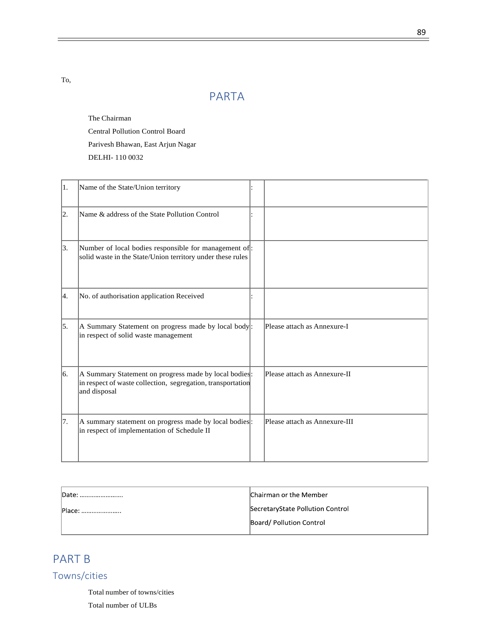To,

# PARTA

The Chairman

Central Pollution Control Board

Parivesh Bhawan, East Arjun Nagar

DELHI- 110 0032

| Iı. | Name of the State/Union territory                                                                                                    |                               |
|-----|--------------------------------------------------------------------------------------------------------------------------------------|-------------------------------|
| 2.  | Name & address of the State Pollution Control                                                                                        |                               |
| 3.  | Number of local bodies responsible for management of:<br>solid waste in the State/Union territory under these rules                  |                               |
| 14. | No. of authorisation application Received                                                                                            |                               |
| 15. | A Summary Statement on progress made by local body:<br>in respect of solid waste management                                          | Please attach as Annexure-I   |
| 16. | A Summary Statement on progress made by local bodies:<br>in respect of waste collection, segregation, transportation<br>and disposal | Please attach as Annexure-II  |
| 17. | A summary statement on progress made by local bodies.<br>in respect of implementation of Schedule II                                 | Please attach as Annexure-III |

| $\mathsf{D}$ ate:<br> | Chairman or the Member           |
|-----------------------|----------------------------------|
| Place:                | SecretaryState Pollution Control |
|                       | Board/ Pollution Control         |

# PART B

Towns/cities

Total number of towns/cities

Total number of ULBs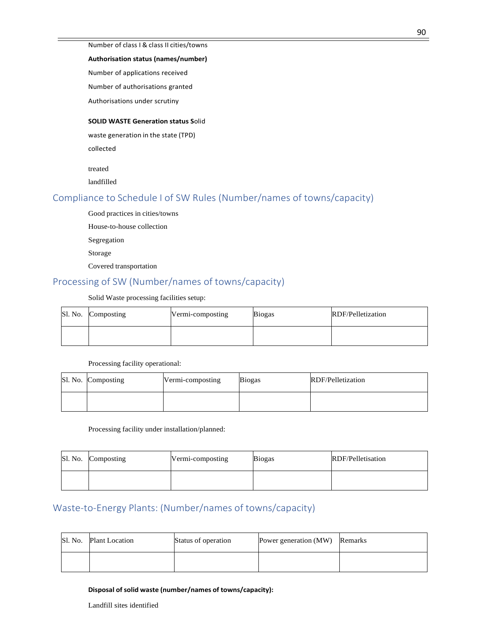#### Number of class I & class II cities/towns

#### **Authorisation status (names/number)**

Number of applications received

Number of authorisations granted

Authorisations under scrutiny

#### **SOLID WASTE Generation status S**olid

waste generation in the state (TPD)

collected

treated

landfilled

## Compliance to Schedule I of SW Rules (Number/names of towns/capacity)

Good practices in cities/towns

House-to-house collection

Segregation

Storage

Covered transportation

## Processing of SW (Number/names of towns/capacity)

Solid Waste processing facilities setup:

|  | Sl. No. Composting | Vermi-composting | <b>Biogas</b> | RDF/Pelletization |
|--|--------------------|------------------|---------------|-------------------|
|  |                    |                  |               |                   |

Processing facility operational:

| Sl. No. Composting | Vermi-composting | <b>Biogas</b> | RDF/Pelletization |
|--------------------|------------------|---------------|-------------------|
|                    |                  |               |                   |

Processing facility under installation/planned:

|  | Sl. No. Composting | Vermi-composting | <b>Biogas</b> | RDF/Pelletisation |  |
|--|--------------------|------------------|---------------|-------------------|--|
|  |                    |                  |               |                   |  |

## Waste-to-Energy Plants: (Number/names of towns/capacity)

| Sl. No. | <b>Plant Location</b> | Status of operation | Power generation (MW) Remarks |  |
|---------|-----------------------|---------------------|-------------------------------|--|
|         |                       |                     |                               |  |

#### **Disposal of solid waste (number/names of towns/capacity):**

Landfill sites identified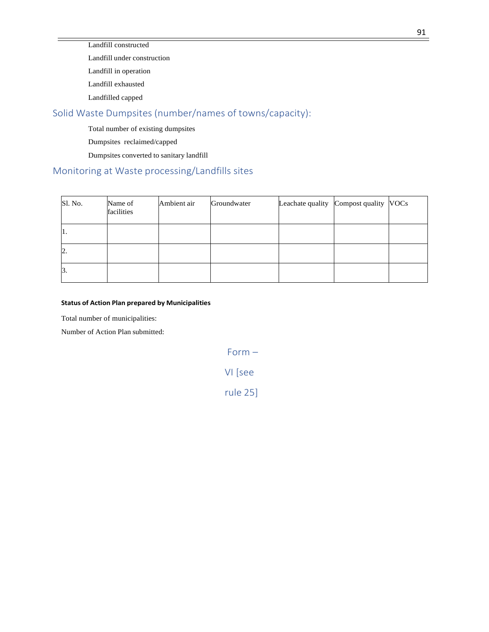Landfill constructed

Landfill under construction

Landfill in operation Landfill exhausted

Landfilled capped

## Solid Waste Dumpsites (number/names of towns/capacity):

Total number of existing dumpsites

Dumpsites reclaimed/capped

Dumpsites converted to sanitary landfill

## Monitoring at Waste processing/Landfills sites

| Sl. No. | Name of<br>facilities | Ambient air | Groundwater | Leachate quality Compost quality VOCs |  |
|---------|-----------------------|-------------|-------------|---------------------------------------|--|
| п.      |                       |             |             |                                       |  |
| 2.      |                       |             |             |                                       |  |
| 13.     |                       |             |             |                                       |  |

### **Status of Action Plan prepared by Municipalities**

Total number of municipalities:

Number of Action Plan submitted:

Form –

## VI [see

rule 25]